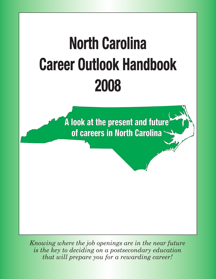

*Knowing where the job openings are in the near future is the key to deciding on a postsecondary education that will prepare you for a rewarding career!*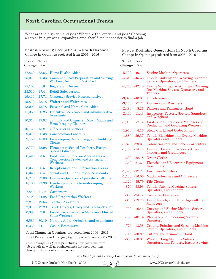### **North Carolina Occupational Trends**

What are the high demand jobs? What are the low demand jobs? Choosing a career in a growing, expanding area should make it easier to find a job.

#### **Fastest Growing Occupations in North Carolina**

**Fastest Declining Occupations in North Carolina**

Change In Openings projected from 2006 - 2016

**Total Total**

Change In Openings projected from 2006 - 2016

# **Total Total**

| Change                                              | $%$ $\triangle$ |                                                                                      |  |
|-----------------------------------------------------|-----------------|--------------------------------------------------------------------------------------|--|
| 27,860                                              | 38.63           | <b>Home Health Aides</b>                                                             |  |
| 25,970                                              | 26.33           | <b>Combined Food Preparation and Serving</b><br>Workers, Including Fast Food         |  |
| 25,100                                              | 31.64           | <b>Registered Nurses</b>                                                             |  |
| 23,510                                              | 17.4            | <b>Retail Salespersons</b>                                                           |  |
| 19,410                                              | 27.71           | <b>Customer Service Representatives</b>                                              |  |
| 15,870                                              | 23.18           | <b>Waiters and Waitresses</b>                                                        |  |
| 13,900                                              | 75.78           | Personal and Home Care Aides                                                         |  |
| 11,060                                              | 20.26           | <b>Executive Secretaries and Administrative</b><br>Assistants                        |  |
| 10,310                                              | 19.92           | Janitors and Cleaners, Except Maids and<br><b>Housekeeping Cleaners</b>              |  |
| 10,130                                              | 15.8            | Office Clerks, General                                                               |  |
| 9,370                                               | 26.38           | <b>Construction Laborers</b>                                                         |  |
| 9,150                                               | 15.88           | Bookkeeping, Accounting, and Auditing<br>Clerks                                      |  |
| 8,770                                               | 23.98           | <b>Elementary School Teachers, Except</b><br><b>Special Education</b>                |  |
| 8,420                                               | 23.51           | First-Line Supervisors/ Managers of<br>Construction Trades and Extraction<br>Workers |  |
| 8,350                                               | $26.5\,$        | Receptionists and Information Clerks                                                 |  |
| 8,340                                               | 66.4            | Social and Human Service Assistants                                                  |  |
| 8,270                                               | 29.06           | Business Operations Specialists, all other                                           |  |
| 8,100                                               | 23.96           | Landscaping and Groundskeeping<br>Workers                                            |  |
| 7,840                                               | 21.44           | Carpenters                                                                           |  |
| 7,490                                               | 24.28           | <b>Food Preparation Workers</b>                                                      |  |
| 7,270                                               | 19.65           | <b>Teacher Assistants</b>                                                            |  |
| 7,070                                               | 12.29           | Truck Drivers, Heavy and Tractor-Trailer                                             |  |
| 6,990                                               | 9.84            | First-Line Supervisors/Managers of Retail<br>Sales Workers                           |  |
| 6,580                                               | 30.19           | Nursing Aides, Orderlies, and Attendants                                             |  |
| 6,330                                               | 24.11           | Cooks, Restaurant                                                                    |  |
| Total Change In Openings projected from 2006 - 2016 |                 |                                                                                      |  |

#### Total Percentage Change  $(\% \triangle)$  projected from 2006 - 2016

*Total Change In Openings* includes new positions from job growth as well as replacements for open positions through retirement and turnover.

-5,700 -40.1 Sewing Machine Operators -4,340 -45.53 Textile Knitting and Weaving Machine Setters, Operators, and Tenders -4,260 -42.48 Textile Winding, Twisting, and Drawing Out Machine Setters, Operators, and Tenders -3,820 -46.04 Upholsterers -3,150 -7.24 Farmers and Ranchers -2,490 -8.26 Packers and Packagers, Hand -2,400 -11.43 Inspectors, Testers, Sorters, Samplers, and Weighers -1,990 -7.12 First-Line Supervisors/ Managers of Production and Operating Workers -1,970 -4.16 Stock Clerks and Order Fillers -1,880 -39.37 Textile Bleaching and Dyeing Machine Operators and Tenders -1,870 -29.31 Cabinetmakers and Bench Carpenters -1,780 -14.13 Farmworkers and Laborers, Crop, Nursery, and Greenhouse **Change %**

- -1,630 -28.18 Order Clerks
- -1,340 -21.6 Electrical and Electronic Equipment Assemblers
- -1,320 -37.2 Furniture Finishers
- -1,130 -16.06 Machine Feeders and Offbearers
- -1,120 -35.79 File Clerks
	- -870 -38.93 Textile Cutting Machine Setters, Operators, and Tenders
	- -860 -24.12 Computer Operators
	- -830 -19.73 Farm, Ranch, and Other Agricultural Managers
	- -790 -16.46 Cutting and Slicing Machine Setters, Operators, and Tenders
	- -780 -48.14 Photographic Processing Machine **Operators**
	- -770 -13.58 Coating, Painting, and Spraying Machine Setters, Operators, and Tenders
	- -710 -30.89 Cutters and Trimmers, Hand
	- -660 -10.01 Woodworking Machine Setters, Operators, and Tenders, Except Sawing

*NC Employment Security Commission (www.ncesc.com)*

2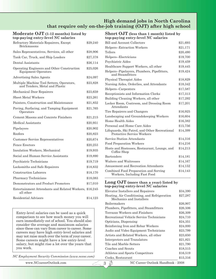#### **High demand jobs in North Carolina that require only on-the-job training (OJT) after high school**

#### **Moderate OJT (1-12 months) listed by top-paying entry-level NC salaries**

| \$29,240                                               |
|--------------------------------------------------------|
| \$28,906                                               |
| \$27,378                                               |
| \$26,114                                               |
| \$25,026                                               |
| \$24,097                                               |
| \$23,828                                               |
| \$23,659                                               |
| \$23,261                                               |
| \$21,852                                               |
| \$21,765                                               |
| \$21,215                                               |
| \$20,951                                               |
| \$20,902                                               |
| \$20,823                                               |
| \$20,674                                               |
| \$20,253                                               |
| \$19,935                                               |
| \$19,890                                               |
| \$19,719                                               |
| \$18,832                                               |
| \$18,170                                               |
| \$18,083                                               |
| \$17,010                                               |
| Entertainment Attendants and Related Workers, \$16,245 |
| \$14,123                                               |
|                                                        |

Entry-level salaries can be used as a quick comparison to see how much money you will earn immediately out of school. You should also consider the average and maximum salaries since these can vary from career to career. Some careers may have high entry-level salaries and may not raise much over the term of your career. Some careers might have a low entry-level salary, but might rise a lot over the years that you work.

*NC Employment Security Commission (www.ncesc.com)*

#### **Short OJT (less than 1 month) listed by top-paying entry-level NC salaries**

| Bill and Account Collectors                                                  | \$21,693 |
|------------------------------------------------------------------------------|----------|
| Helpers--Extraction Workers                                                  | \$21,171 |
| Tellers                                                                      | \$20,490 |
| Helpers--Electricians                                                        | \$19,700 |
| Psychiatric Aides                                                            | \$19,459 |
| Healthcare Support Workers, all other                                        | \$19,445 |
| Helpers--Pipelayers, Plumbers, Pipefitters,<br>and Steamfitters              | \$19,424 |
| Physical Therapist Aides                                                     | \$18,829 |
| Nursing Aides, Orderlies, and Attendants                                     | \$18,342 |
| Helpers--Carpenters                                                          | \$17,587 |
| Receptionists and Information Clerks                                         | \$17,313 |
| Building Cleaning Workers, all other                                         | \$17,292 |
| Locker Room, Coatroom, and Dressing Room<br>Attendants                       | \$17,201 |
| Tire Repairers and Changers                                                  | \$16,925 |
| Landscaping and Groundskeeping Workers                                       | \$16,604 |
| Home Health Aides                                                            | \$16,382 |
| Personal and Home Care Aides                                                 | \$15,756 |
| Lifeguards, Ski Patrol, and Other Recreational<br>Protective Service Workers | \$14,399 |
| Service Station Attendants                                                   | \$14,316 |
| <b>Food Preparation Workers</b>                                              | \$14,216 |
| Hosts and Hostesses, Restaurant, Lounge, and<br>Coffee Shop                  | \$14,213 |
| <b>Bartenders</b>                                                            | \$14,181 |
| Waiters and Waitresses                                                       | \$14,167 |
| Amusement and Recreation Attendants                                          | \$14,152 |
| Combined Food Preparation and Serving<br>Workers, Including Fast Food        | \$14,143 |

#### **Long OJT (more than a year) listed by top-paying entry-level NC salaries**

| Elevator Installers and Repairers                                        | \$34,390 |
|--------------------------------------------------------------------------|----------|
| Heating, Air Conditioning, and Refrigeration<br>Mechanics and Installers | \$27,287 |
| Boilermakers                                                             | \$26,907 |
| Plumbers, Pipefitters, and Steamfitters                                  | \$26,506 |
| Terrazzo Workers and Finishers                                           | \$26,309 |
| Recreational Vehicle Service Technicians                                 | \$24,710 |
| Opticians, Dispensing                                                    | \$24,351 |
| Reinforcing Iron and Rebar Workers                                       | \$24,000 |
| Audio and Video Equipment Technicians                                    | \$23,799 |
| Artists and Related Workers, all other                                   | \$23,650 |
| Interpreters and Translators                                             | \$21,821 |
| Tile and Marble Setters                                                  | \$21,790 |
| Coaches and Scouts                                                       | \$18,515 |
| Athletes and Sports Competitors                                          | \$16,519 |
| Cooks, Restaurant                                                        | \$15,316 |
|                                                                          |          |

 $3\ddot{\phi}$ 

www.NCcareerOutlook.com NC Career Outlook Handbook - 2008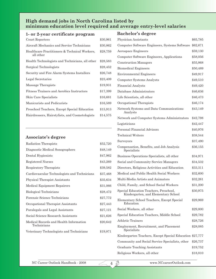#### **High demand jobs in North Carolina listed by minimum education level required and average entry-level salaries**

#### **1- or 2-year certificate program**

| Court Reporters                                            | \$30,961 |
|------------------------------------------------------------|----------|
| Aircraft Mechanics and Service Technicians                 | \$30,862 |
| Healthcare Practitioners & Technical Workers,<br>all other | \$28,759 |
| Health Technologists and Technicians, all other            | \$28,583 |
| Surgical Technologists                                     | \$28,452 |
| Security and Fire Alarm Systems Installers                 | \$26,748 |
| Legal Secretaries                                          | \$23,409 |
| Massage Therapists                                         | \$19,931 |
| Fitness Trainers and Aerobics Instructors                  | \$17,399 |
| Skin Care Specialists                                      | \$16,681 |
| Manicurists and Pedicurists                                | \$16,589 |
| Preschool Teachers, Except Special Education               | \$15,913 |
| Hairdressers, Hairstylists, and Cosmetologists             | \$14,575 |

#### **Associate's degree**

| Radiation Therapists                                  | \$52,720 |
|-------------------------------------------------------|----------|
| Diagnostic Medical Sonographers                       | \$48,149 |
| Dental Hygienists                                     | \$47,962 |
| Registered Nurses                                     | \$43,269 |
| Respiratory Therapists                                | \$39,582 |
| Cardiovascular Technologists and Technicians          | \$37,468 |
| <b>Physical Therapist Assistants</b>                  | \$35,634 |
| Medical Equipment Repairers                           | \$31,066 |
| Biological Technicians                                | \$28,472 |
| Forensic Science Technicians                          | \$27,772 |
| Occupational Therapist Assistants                     | \$27,443 |
| Paralegals and Legal Assistants                       | \$27,121 |
| Social Science Research Assistants                    | \$21,626 |
| Medical Records and Health Information<br>Technicians | \$20,642 |
| Veterinary Technologists and Technicians              | \$19,871 |
|                                                       |          |

# **Bachelor's degree**

| Physician Assistants                                                          | \$65,785   |
|-------------------------------------------------------------------------------|------------|
| Computer Software Engineers, Systems Software \$62,671                        |            |
| Aerospace Engineers                                                           | \$59,130   |
| Computer Software Engineers, Applications                                     | \$58,056   |
| <b>Construction Managers</b>                                                  | \$55,868   |
| <b>Biomedical Engineers</b>                                                   | \$50,489   |
| <b>Environmental Engineers</b>                                                | \$49,917   |
| Computer Systems Analysts                                                     | \$49,510   |
| <b>Financial Analysts</b>                                                     | \$49,420   |
| Database Administrators                                                       | \$46,636   |
| Life Scientists, all other                                                    | \$46,473   |
| Occupational Therapists                                                       | \$46,174   |
| Network Systems and Data Communications<br>Analysts                           | \$43,149   |
| Network and Computer Systems Administrators                                   | \$42,798   |
| Logisticians                                                                  | \$42,447   |
| Personal Financial Advisors                                                   | \$40,976   |
| <b>Technical Writers</b>                                                      | \$38,544   |
| Surveyors                                                                     | \$37,490   |
| Compensation, Benefits, and Job Analysis<br>Specialists                       | \$36,155   |
| Business Operations Specialists, all other                                    | \$34,971   |
| Social and Community Service Managers                                         | \$34,532   |
| Directors, Religious Activities and Education                                 | \$33,311   |
| Medical and Public Health Social Workers                                      | \$32,600   |
| Multi-Media Artists and Animators                                             | $\$32,261$ |
| Child, Family, and School Social Workers                                      | \$31,200   |
| Special Education Teachers, Preschool,<br>Kindergarten, and Elementary School | \$30,975   |
| Elementary School Teachers, Except Special<br>Education                       | \$29,969   |
| Social Workers, all other                                                     | \$29,800   |
| Special Education Teachers, Middle School                                     | \$29,782   |
| Athletic Trainers                                                             | \$28,726   |
| Employment, Recruitment, and Placement<br>Specialists                         | \$28,085   |
| Kindergarten Teachers, Except Special Education \$27,777                      |            |
| Community and Social Service Specialists, other                               | \$26,737   |
| Graduate Teaching Assistants                                                  | \$19,752   |
| Religious Workers, all other                                                  | \$18,810   |

 $\overrightarrow{4}$   $\overrightarrow{3}$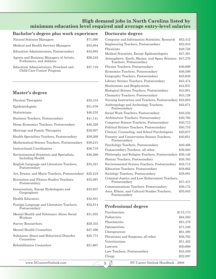### **High demand jobs in North Carolina listed by minimum education level required and average entry-level salaries**

#### **Doctorate degree Bachelor's degree plus work experience**

| Natural Sciences Managers                                             | \$71,090 |
|-----------------------------------------------------------------------|----------|
| Medical and Health Services Managers                                  | \$55,804 |
| Education Administrators, Postsecondary                               | \$43,683 |
| Agents and Business Managers of Artists.<br>Performers, and Athletes  | \$29,242 |
| Education Administrators, Preschool and<br>Child Care Center/ Program | \$27,719 |

#### **Master's degree**

| Physical Therapists                                                  | \$55,318 |
|----------------------------------------------------------------------|----------|
| Epidemiologists                                                      | \$51,876 |
| Statisticians                                                        | \$46,235 |
| Business Teachers, Postsecondary                                     | \$41,141 |
| Home Economics Teachers, Postsecondary                               | \$40,329 |
| Marriage and Family Therapists                                       | \$39,807 |
| Health Specialties Teachers, Postsecondary                           | \$39,269 |
| Mathematical Science Teachers, Postsecondary                         | \$39,215 |
| Instructional Coordinators                                           | \$36,719 |
| Environmental Scientists and Specialists,<br><b>Including Health</b> | \$36,266 |
| English Language and Literature Teachers,<br>Postsecondary           | \$35,521 |
| Art, Drama, and Music Teachers, Postsecondary                        | \$35,219 |
| Recreation and Fitness Studies Teachers.<br>Postsecondary            | \$35,097 |
| Geoscientists, Except Hydrologists and<br>Geographers                | \$33,937 |
| <b>Health Educators</b>                                              | \$32,831 |
| Foreign Language and Literature Teachers,<br>Postsecondary           | \$32,814 |
| Mental Health and Substance Abuse Social<br>Workers                  | \$31,035 |
| Survey Researchers                                                   | \$29,355 |
| Mental Health Counselors                                             | \$27,496 |
| Substance Abuse and Behavioral Disorder<br>Counselors                | \$25,774 |
| Rehabilitation Counselors                                            | \$21,667 |

| Computer and Information Scientists, Research                             | \$52,412 |
|---------------------------------------------------------------------------|----------|
| Engineering Teachers, Postsecondary                                       | \$52,043 |
| Physicists                                                                | \$49,728 |
| Medical Scientists, Except Epidemiologists                                | \$47,391 |
| Atmospheric, Earth, Marine, and Space Sciences<br>Teachers, Postsecondary | \$47,276 |
| Physics Teachers, Postsecondary                                           | \$46,699 |
| Economics Teachers, Postsecondary                                         | \$46,586 |
| Geography Teachers, Postsecondary                                         | \$45,630 |
| Library Science Teachers, Postsecondary                                   | \$45,474 |
| Biochemists and Biophysicists                                             | \$44,937 |
| Biological Science Teachers, Postsecondary                                | \$43,981 |
| Chemistry Teachers, Postsecondary                                         | \$43,129 |
| Nursing Instructors and Teachers, Postsecondary \$42,683                  |          |
| Anthropology and Archeology Teachers,<br>Postsecondary                    | \$42,671 |
| Social Work Teachers, Postsecondary                                       | \$42,232 |
| Architecture Teachers, Postsecondary                                      | \$40,792 |
| Computer Science Teachers, Postsecondary                                  | \$40,712 |
| Political Science Teachers, Postsecondary                                 | \$40,710 |
| Clinical, Counseling, and School Psychologists                            | \$40,677 |
| Forestry and Conservation Science Teachers,<br>Postsecondary              | \$40,651 |
| Psychology Teachers, Postsecondary                                        | \$40,488 |
| Postsecondary Teachers, all other                                         | \$39,583 |
| Philosophy and Religion Teachers, Postsecondary                           | \$39,146 |
| History Teachers, Postsecondary                                           | \$38,763 |
| Environmental Science Teachers, Postsecondary                             | \$38,712 |
| Education Teachers, Postsecondary                                         | \$38,662 |
| Sociology Teachers, Postsecondary                                         | \$38,081 |
| Criminal Justice and Law Enforcement Teachers,<br>Postsecondary           | \$37,431 |
| Communications Teachers, Postsecondary                                    | \$36,172 |
| Area, Ethnic, and Cultural Studies Teachers,<br>Postsecondary             | \$35,845 |

# **Professional degree**

 $5 \frac{3}{2}$ 

| Psychiatrists                      | \$115,173 |
|------------------------------------|-----------|
| Podiatrists                        | \$84,593  |
| Pharmacists                        | \$81,379  |
| Optometrists                       | \$71,246  |
| Chiropractors                      | \$61,390  |
| Physicians and Surgeons, all other | \$56,762  |
| Veterinarians                      | \$51,452  |
| Lawyers                            | \$50,699  |
| Law Teachers, Postsecondary        | \$45,559  |
| Clergy                             | \$32,897  |
|                                    |           |

www.NCcareerOutlook.com NC Career Outlook Handbook - 2008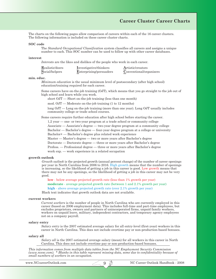#### **Career Cluster Career Charts**

The charts on the following pages allow comparison of careers within each of the 16 career clusters. The following information is included on these career cluster charts.

#### **SOC code**

The *Standard Occupational Classification* system classifies all careers and assigns a unique number to each. This SOC number can be used to follow up with other career databases.

#### **interest**

*Interests* are the likes and dislikes of the people who work in each career.

| Realistic/doers | Investigative/thinkers         | Artistic/creators       |
|-----------------|--------------------------------|-------------------------|
| Social/helpers  | <b>Enterprising/persuaders</b> | Conventional/organizers |

#### **min. educ.**

*Minimum education* is the usual minimum level of postsecondary (after high school) education/training required for each career.

Some careers have on-the-job training (OJT), which means that you go straight to the job out of high school and learn while you work.

short OJT — Short on-the-job training (less than one month)

mod. OJT — Moderate on-the-job training (1 to 12 months)

long OJT — Long on-the-job training (more than one year). Long OJT usually includes community college or trade school courses.

Some careers require further education after high school before starting the career.

1,2 year — one- or two-year program at a trade school or community college

Associate — Associate's degree — two-year degree program at a community college

Bachelor — Bachelor's degree — four-year degree program at a college or university

Bachelor+ — Bachelor's degree plus related work experience

Master — Master's degree — two or more years after Bachelor's degree

Doctorate — Doctorate degree — three or more years after Bachelor's degree

Profess. — Professional degree — three or more years after Bachelor's degree

work exp. — work experience in a related occupation

#### **growth outlook**

*Growth outlook* is the projected growth (annual percent change) of the number of career openings per year in North Carolina from 2006 to 2016. High growth means that the number of openings is increasing, so the likelihood of getting a job in this career is good. Low growth means that there may not be any openings, so the likelihood of getting a job in this career may not be very good.

**low** - below average projected growth rate (less than 1% growth per year)

**moderate** - average projected growth rate (between 1 and 2.1% growth per year)

**high** - above average projected growth rate (over 2.1% growth per year)

Black text indicates that growth outlook data are not available.

#### **current workers**

*Current workers* is the number of people in North Carolina who are currently employed in this career (based on 2006 employment data). This includes full-time and part-time employees, but excludes proprietors, owners and partners of unincorporated firms, unpaid family workers, workers on unpaid leave, military, independent contractors, and temporary agency employees not on a company payroll.

#### **salary entry**

*Salary entry* is the 2007 estimated average salary for all entry-level (first-year) workers in this career in North Carolina. This does not include overtime pay or non-production-based bonuses.

#### **salary all**

*Salary all* is the 2007 estimated average salary (mean) for all workers in this career in North Carolina. This does not include overtime pay or non-production-based bonuses.

*This information comes from multiple data tables from the NC Employment Security Commission (www.ncesc.com). \* Blanks in this table represent missing data, some due to confidentiality because of small numbers of workers in an occupation.*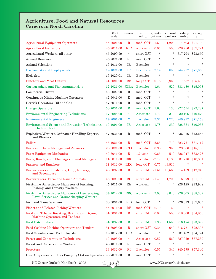#### **Agriculture, Food and Natural Resources Careers in North Carolina**

|                                                                                            | <b>SOC</b><br>code | interest     | min.<br>educ.      | growth<br>outlook | current<br>workers | salary<br>entry | salary<br>all |
|--------------------------------------------------------------------------------------------|--------------------|--------------|--------------------|-------------------|--------------------|-----------------|---------------|
| <b>Agricultural Equipment Operators</b>                                                    | 45-2091.00         | $\mathbf R$  | mod. OJT -1.63     |                   | 1,290              | \$14,503        | \$21,199      |
| <b>Agricultural Inspectors</b>                                                             | 45-2011.00         | $_{\rm RIC}$ | work exp.          | 0.05              | 550                | \$28,786        | \$37,724      |
| Agricultural Workers, all other                                                            | 45-2099.99         | $\ast$       | short OJT          | $\ast$            | $\ast$             | \$17,794        | \$23,650      |
| Animal Breeders                                                                            | 45-2021.00         | $\rm RI$     | mod. OJT           | $\ast$            | $\ast$             | $\star$         | *             |
| Animal Scientists                                                                          | 19-1011.00         | <b>IR</b>    | Bachelor           | $\ast$            | $\star$            | $\star$         | $\ast$        |
| <b>Biochemists and Biophysicists</b>                                                       | 19-1021.00         | $_{\rm IR}$  | Doctorate          | 2.14              | 850                | \$44,937        | \$71,050      |
| Biologists                                                                                 | 19-1020.01         | IR           | Bachelor           | $\ast$            | $\ast$             | $\ast$          | *             |
| <b>Butchers and Meat Cutters</b>                                                           | 51-3021.00         | RE           | long OJT           | 0.18              | 3.930              | \$17,557        | \$25,536      |
| Cartographers and Photogrammetrists                                                        | 17-1021.00         | <b>CIRA</b>  | Bachelor           | 1.64              | 520                | \$31,480        | \$45,058      |
| <b>Commercial Divers</b>                                                                   | 49-9092.00         | $\mathbf R$  | mod. OJT           | $\ast$            | $\star$            | $\star$         | *             |
| Continuous Mining Machine Operators                                                        | 47-5041.00         | R            | mod. OJT           | $\ast$            | $\ast$             | $\star$         | $\ast$        |
| Derrick Operators, Oil and Gas                                                             | 47-5011.00         | $\mathbf R$  | mod. OJT           | $\ast$            | $\ast$             | $\star$         | $\ast$        |
| <b>Dredge Operators</b>                                                                    | 53-7031.00         | $_{\rm R}$   | mod. OJT           | 1.63              | 130                | \$22,534        | \$29,287      |
| <b>Environmental Engineering Technicians</b>                                               | 17-3025.00         | $\ast$       | Associate          | 1.72              | 370                | \$30,106        | \$40,270      |
| <b>Environmental Engineers</b>                                                             | 17-2081.00         | *            | <b>Bachelor</b>    | 2.37              | 1,770              | \$49,917        | \$71,158      |
| Environmental Science and Protection Technicians,<br><b>Including Health</b>               | 19-4091.00         | $_{\rm IR}$  | Associate          | 1.78              | 830                | \$28,334        | \$40,033      |
| Explosives Workers, Ordnance Handling Experts,<br>and Blasters                             | 47-5031.00         | $\mathbf R$  | mod. OJT           | $\ast$            | *                  | \$36,026        | \$43,256      |
| Fallers                                                                                    | 45-4021.00         | $\mathbf R$  | mod. OJT -2.65     |                   | 710                | \$23,771        | \$31,112      |
| Farm and Home Management Advisors                                                          | 25-9021.00         | <b>SREC</b>  | <b>Bachelor</b>    | 0.98              | 950                | \$28,086        | \$45,100      |
| <b>Farm Equipment Mechanics</b>                                                            | 49-3041.00         | $\mathbf R$  | $1,2$ year         | 0.65              | 510                | \$26,047        | \$33,426      |
| Farm, Ranch, and Other Agricultural Managers                                               | 11-9011.00         | <b>ERC</b>   | Bachelor $+ -2.17$ |                   | 4,180              | \$31,716        | \$48,801      |
| <b>Farmers and Ranchers</b>                                                                | 11-9012.00         | <b>REC</b>   | $long$ OJT         | $-0.75$           | 43,510             |                 | $\ast$        |
| Farmworkers and Laborers, Crop, Nursery,<br>and Greenhouse                                 | 45-2092.00         | $\mathbf R$  | short OJT -1.51    |                   | 12,560             | \$14,139        | \$17,942      |
| Farmworkers, Farm and Ranch Animals                                                        | 45-2093.00         | RC           | short $OJT - 1.40$ |                   | 1,700              | \$16,679        | \$21,109      |
| First-Line Supervisors/ Managers of Farming,<br>Fishing, and Forestry Workers              | 45-1011.00         | RE           | work exp.          |                   | *                  | \$28,125        | \$43,948      |
| First-Line Supervisors/Managers of Landscaping,<br>Lawn Service and Groundskeeping Workers | 37-1012.00         | <b>ERC</b>   | work exp.          | 2.03              | 8,040              | \$26,605        | \$38,302      |
| Fish and Game Wardens                                                                      | 33-3031.00         | <b>RIS</b>   | long OJT           | *                 | *                  | \$26,319        | \$37,605      |
| <b>Fishers and Related Fishing Workers</b>                                                 | 45-3011.00         | RE           | mod. OJT           | $-6.70$           | 60                 | $\ast$          |               |
| Food and Tobacco Roasting, Baking, and Drying<br>Machine Operators and Tenders             | 51-3091.00         | $\mathbf R$  | short OJT          | 0.07              | 550                | \$18,860        | \$34,856      |
| <b>Food Batchmakers</b>                                                                    | 51-3092.00         | $\mathbf R$  | short OJT          | 1.98              | 1,550              | \$16,174        | \$23,892      |
| Food Cooking Machine Operators and Tenders                                                 | 51-3093.00         | $\mathbf R$  | short OJT          | 0.34              | 640                | \$16,751        | \$22,303      |
| Food Scientists and Technologists                                                          | 19-1012.00         | <b>IRC</b>   | Bachelor           | $\ast$            | $\ast$             | \$31,482        | \$54,774      |
| <b>Forest and Conservation Technicians</b>                                                 | 19-4093.00         | $\ast$       | Associate          | 0.52              | 560                | \$27,929        | \$37,239      |
| Forest and Conservation Workers                                                            | 45-4011.00         | $\rm RI$     | mod. OJT           | $\ast$            | $\star$            | $\star$         | $\star$       |
| Foresters                                                                                  | 19-1032.00         | $\mathbf{R}$ | <b>Bachelor</b>    | 0.55              | 340                | \$40,775        | \$57,340      |
| Gas Compressor and Gas Pumping Station Operators 53-7071.00                                |                    | $\mathbf R$  | mod. OJT           | *                 | $\ast$             | $\star$         | $\ast$        |

NC Career Outlook Handbook - 2008 www.NCcareerOutlook.com

 $210 + 10$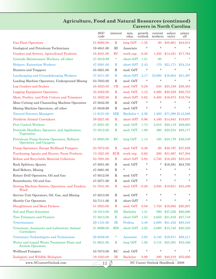#### **Agriculture, Food and Natural Resources (continued) Careers in North Carolina**

|                                                                         | <b>SOC</b><br>code | interest     | min.<br>educ.     | growth<br>outlook | current<br>workers | salary<br>entry | salary<br>all      |
|-------------------------------------------------------------------------|--------------------|--------------|-------------------|-------------------|--------------------|-----------------|--------------------|
| <b>Gas Plant Operators</b>                                              | 51-8092.00         | $\mathbf R$  | long OJT          | $-1.35$           | 60                 | \$35,861        | \$44,015           |
| Geological and Petroleum Technicians                                    | 19-4041.00         | RI           | Associate         | $\ast$            | $\star$            | $\star$         | $\ast$             |
| Graders and Sorters, Agricultural Products                              | 45-2041.00         | RC           | work exp.         | $-0.40$           | 1,230              | \$14,321        | \$17,784           |
| Grounds Maintenance Workers, all other                                  | 37-3019.99         | *            | short OJT         | 1.51              | 60                 | $\ast$          |                    |
| Helpers--Extraction Workers                                             | 47-5081.00         | $\mathbf R$  | short OJT         | 2.43              | 170                | \$21,171        | \$24,134           |
| Hunters and Trappers                                                    | 45-3021.00         | $\mathbf R$  | mod. OJT          | $^\star$          | $\ast$             | *               |                    |
| Landscaping and Groundskeeping Workers                                  | 37-3011.00         | $\mathbf R$  | short OJT         | 2.17              | 33,800             | \$16,604        | \$21,497           |
| Loading Machine Operators, Underground Mining                           | 53-7033.00         | $\mathbf R$  | mod. OJT          | $\ast$            | *                  | $\star$         |                    |
| Log Graders and Scalers                                                 | 45-4023.00         | CR           | mod. OJT          | 0.28              | 240                | \$23,349        | \$29,483           |
| <b>Logging Equipment Operators</b>                                      | 45-4022.00         | $\mathbf R$  | mod. OJT          | $-1.12$           | 2,260              | \$20,529        | \$28,733           |
| Meat, Poultry, and Fish Cutters and Trimmers                            | 51-3022.00         | $\mathbf R$  | short OJT         | 0.62              | 8,400              | \$16,873        | \$19,704           |
| Mine Cutting and Channeling Machine Operators                           | 47-5042.00         | $\mathbf R$  | mod. OJT          | $\ast$            | *                  | $\star$         |                    |
| Mining Machine Operators, all other                                     | 47-5049.99         | $\mathbf R$  | mod. OJT          | $\ast$            | *.                 | $\star$         | $\ast$             |
| <b>Natural Sciences Managers</b>                                        | 11-9121.00         | <b>IER</b>   | Bachelor + $2.56$ |                   | 1,400              |                 | \$71,090 \$112,288 |
| Nonfarm Animal Caretakers                                               | 39-2021.00         | $\mathbf R$  | short OJT         | 0.96              | 4,160              | \$14,843        | \$19,637           |
| <b>Pest Control Workers</b>                                             | 37-2021.00         | $\mathbf R$  | mod. OJT          | 1.73              | 2,810              | \$20,119        | \$29,065           |
| Pesticide Handlers, Sprayers, and Applicators,<br>Vegetation            | 37-3012.00         | $\mathbf R$  | mod. OJT          | 1.69              | 490                | \$20,254        | \$28,177           |
| Petroleum Pump System Operators, Refinery<br>Operators, and Gaugers     | 51-8093.00         | $_{\rm RC}$  | long OJT          | 1.14              | 100                | \$35,179        | \$46,549           |
| Pump Operators, Except Wellhead Pumpers                                 | 53-7072.00         | $\mathbf R$  | mod. OJT          | $-0.49$           | 60                 | \$30,797        | \$37,829           |
| Purchasing Agents and Buyers, Farm Products                             | 13-1021.00         | <b>ECR</b>   | work exp.         | $-0.62$           | 280                | \$31,667        | \$47,304           |
| Refuse and Recyclable Material Collectors                               | 53-7081.00         | $\mathbf R$  | short OJT         | 0.92              | 3,750              | \$16,583        | \$23,333           |
| Rock Splitters, Quarry                                                  | 47-5051.00         | $\mathbf R$  | mod. OJT          | *                 | *                  | \$19,381        | \$24,705           |
| Roof Bolters, Mining                                                    | 47-5061.00         | $\mathbf R$  | $\ast$            | $\ast$            | *                  | $\star$         | *                  |
| Rotary Drill Operators, Oil and Gas                                     | 47-5012.00         | $\mathbf R$  | mod. OJT          | $\ast$            | *.                 | $\star$         | *                  |
| Roustabouts, Oil and Gas                                                | 47-5071.00         | R            | mod. OJT          | $\ast$            | *.                 | $\star$         | *                  |
| Sawing Machine Setters, Operators, and Tenders,<br>Wood                 | 51-7041.00         | $\mathbb{R}$ | mod. OJT          | $-0.28$           | 3.030              | \$19,651        | \$25,439           |
| Service Unit Operators, Oil, Gas, and Mining                            | 47-5013.00         | R            | mod. OJT          | *                 | *.                 | *               |                    |
| Shuttle Car Operators                                                   | 53-7111.00         | R            | short OJT         | $\ast$            | *                  | $\star$         | $\ast$             |
| <b>Slaughterers and Meat Packers</b>                                    | 51-3023.00         | $\mathbf R$  | mod. OJT          | 0.58              | 7,750              | \$16,982        | \$20,297           |
| Soil and Plant Scientists                                               | 19-1013.00         | $_{\rm IR}$  | <b>Bachelor</b>   | 1.31              | 590                | \$37,236        | \$60,886           |
| <b>Tree Trimmers and Pruners</b>                                        | 37-3013.00         | $\mathbf R$  | short OJT         | 1.53              | 2,650              | \$21,816        | \$27,716           |
| Veterinarians                                                           | 29-1131.00         | $_{\rm IR}$  | Profess.          | 3.48              | 2,000              | \$51,452        | \$85,345           |
| Veterinary Assistants and Laboratory Animal<br>Caretakers               | 31-9096.00         | <b>RIS</b>   | short OJT         | 2.02              | 3,060              | \$15,740        | \$20,328           |
| Veterinary Technologists and Technicians                                | 29-2056.00         | *            | Associate         | 3.93              | 2,140              | \$19,871        | \$26,417           |
| Water and Liquid Waste Treatment Plant and<br><b>System Operators</b>   | 51-8031.00         | $\bf{R}$     | long OJT          | 1.88              | 3,110              | \$25,391        | \$33,456           |
| <b>Wellhead Pumpers</b>                                                 | 53-7073.00         | $_{\rm RC}$  | mod. OJT          | $\ast$            | $\star$            | $\ast$          | $\ast$             |
| Zoologists and Wildlife Biologists                                      | 19-1023.00         | <b>IR</b>    | <b>Bachelor</b>   | 0.99              | 380                |                 | \$40,219 \$55,000  |
| 勁<br>www.NCcareerOutlook.com<br>NC Career Outlook Handbook - 2008<br>11 |                    |              |                   |                   |                    |                 |                    |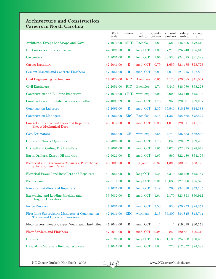# **Architecture and Construction Careers in North Carolina**

|                                                                                          | <b>SOC</b><br>code | interest    | min.<br>educ.    | growth<br>outlook | current<br>workers | salary<br>entry | salary<br>all     |
|------------------------------------------------------------------------------------------|--------------------|-------------|------------------|-------------------|--------------------|-----------------|-------------------|
| Architects, Except Landscape and Naval                                                   | 17-1011.00         | <b>ARIE</b> | Bachelor         | 1.83              | 3,520              | \$45,866        | \$72,610          |
| <b>Brickmasons and Blockmasons</b>                                                       | 47-2021.00         | $\mathbf R$ | $long$ OJT       | 1.87              | 7,210              | \$25,243        | \$35,315          |
| Carpenters                                                                               | 47-2031.00         | $\mathbf R$ | long OJT         | 1.96              | 36,530             | \$24,025        | \$31,328          |
| <b>Carpet Installers</b>                                                                 | 47-2041.00         | $\mathbf R$ | mod. OJT<br>0.79 |                   | 1,650              | \$21,475        | \$28,727          |
| <b>Cement Masons and Concrete Finishers</b>                                              | 47-2051.00         | $\mathbf R$ | mod. OJT         | 2.23              | 4,970              | \$21,215        | \$27,806          |
| Civil Engineering Technicians                                                            | 17-3022.00         | <b>RIC</b>  | Associate        | 0.85              | 4,120              | \$29,685        | \$41,067          |
| <b>Civil Engineers</b>                                                                   | 17-2051.00         | <b>RIC</b>  | <b>Bachelor</b>  | 1.74              | 6,440              | \$48,070        | \$68,228          |
| <b>Construction and Building Inspectors</b>                                              | 47-4011.00         | <b>CRIE</b> | work exp.        | 2.06              | 3,090              | \$33,449        | \$45,198          |
| Construction and Related Workers, all other                                              | 47-4099.99         | $\mathbf R$ | mod. OJT         | 1.76              | 950                | \$20,301        | \$29,297          |
| <b>Construction Laborers</b>                                                             | 47-2061.00         | $\mathbf R$ | mod. OJT         | 2.37              | 35,540             | \$18,170        | \$24,388          |
| <b>Construction Managers</b>                                                             | 11-9021.00         | <b>ERC</b>  | <b>Bachelor</b>  | 2.46              | 21,320             | \$55,868        | \$78,522          |
| Control and Valve Installers and Repairers,<br><b>Except Mechanical Door</b>             | 49-9012.00         | $\mathbf R$ | mod. OJT         | 0.98              | 1,010              | \$29,311        | \$41,760          |
| <b>Cost Estimators</b>                                                                   | 13-1051.00         | CE          | work exp.        | 2.68              | 4,740              | \$36,883        | \$52,868          |
| <b>Crane and Tower Operators</b>                                                         | 53-7021.00         | $\mathbf R$ | mod. OJT         | 1.78              | 850                | \$28,352        | \$39,489          |
| Drywall and Ceiling Tile Installers                                                      | 47-2081.00         | $\mathbf R$ | mod. OJT         | 1.85              | 4,070              | \$22,825        | \$28,879          |
| Earth Drillers, Except Oil and Gas                                                       | 47-5021.00         | $\mathbf R$ | mod. OJT         | 1.65              | 560                | \$22,480        | \$34,176          |
| Electrical and Electronics Repairers, Powerhouse,<br><b>Substation and Relay</b>         | 49-2095.00         | $\mathbf R$ | $1,2$ year       | $-0.82$           | 1,320              | \$39,931        | \$53,123          |
| Electrical Power-Line Installers and Repairers                                           | 49-9051.00         | $\mathbf R$ | $long$ OJT       | 1.35              | 5,310              | \$32,439        | \$45,157          |
| Electricians                                                                             | 47-2111.00         | $\mathbf R$ | $long$ OJT       | 2.01              | 19,680             | \$27,306        | \$35,872          |
| <b>Elevator Installers and Repairers</b>                                                 | 47-4021.00         | R           | long OJT         | 2.49              | 260                | \$34,390        | \$53,135          |
| Excavating and Loading Machine and<br><b>Dragline Operators</b>                          | 53-7032.00         | $\mathbf R$ | mod. OJT         | 1.64              | 2,170              |                 | \$23,853 \$30,912 |
| <b>Fence Erectors</b>                                                                    | 47-4031.00         | $\mathbf R$ | mod. OJT         | 2.50              | 830                | \$20,253        | \$24,351          |
| First-Line Supervisors/ Managers of Construction<br><b>Trades and Extraction Workers</b> | 47-1011.00         | <b>ERC</b>  | work exp.        | 2.13              | 35,800             | \$34,845        | \$48,744          |
| Floor Layers, Except Carpet, Wood, and Hard Tiles                                        | 47-2042.00         | R           | mod. OJT         | $\ast$            | $\ast$             | \$19,099        | \$30,173          |
| <b>Floor Sanders and Finishers</b>                                                       | 47-2043.00         | $\mathbf R$ | mod. OJT         | 0.94              | 850                | \$20,531        | \$26,313          |
| Glaziers                                                                                 | 47-2121.00         | $\mathbf R$ | $long$ OJT       | 1.68              | 1,100              | \$24,058        | \$30,559          |
| Hazardous Materials Removal Workers                                                      | 47-4041.00         | $\mathbf R$ | mod. OJT         | 1.84              | 770                | \$17,357        | \$24,389          |

 $\sqrt{12 \frac{3}{2}}$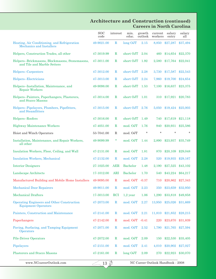#### **Architecture and Construction (continued) Careers in North Carolina**

|                                                                                | <b>SOC</b><br>code | interest    | min.<br>educ.   | growth<br>outlook | current<br>workers | salary<br>entry   | salary<br>all |
|--------------------------------------------------------------------------------|--------------------|-------------|-----------------|-------------------|--------------------|-------------------|---------------|
| Heating, Air Conditioning, and Refrigeration<br>Mechanics and Installers       | 49-9021.00         | $\mathbf R$ | $long$ OJT      | 2.15              | 8,850              | \$27,287          | \$37,494      |
| Helpers, Construction Trades, all other                                        | 47-3019.99         | $\mathbf R$ | short OJT       | 2.04              | 460                | \$14,654          | \$22,370      |
| Helpers--Brickmasons, Blockmasons, Stonemasons,<br>and Tile and Marble Setters | 47-3011.00         | $\mathbf R$ | short OJT       | 1.92              | 2,580              | \$17,764          | \$22,041      |
| Helpers--Carpenters                                                            | 47-3012.00         | R           | short OJT       | 2.28              | 3,730              | \$17,587          | \$22,543      |
| Helpers--Electricians                                                          | 47-3013.00         | $\mathbf R$ | short OJT       | 2.24              | 7,960              | \$19,700          | \$24,654      |
| Helpers--Installation, Maintenance, and<br><b>Repair Workers</b>               | 49-9098.00         | $\mathbf R$ | short OJT       | 1.53              | 7,100              | \$16,637          | \$23,375      |
| Helpers--Painters, Paperhangers, Plasterers,<br>and Stucco Masons              | 47-3014.00         | $\mathbf R$ | short OJT       | 1.01              | 310                | \$17,921          | \$20,783      |
| Helpers--Pipelayers, Plumbers, Pipefitters,<br>and Steamfitters                | 47-3015.00         | $\mathbf R$ | short OJT       | 2.76              | 5.050              | \$19,424          | \$25,003      |
| Helpers--Roofers                                                               | 47-3016.00         | $\mathbf R$ | short OJT       | 1.49              | 740                | \$17,619          | \$21,118      |
| <b>Highway Maintenance Workers</b>                                             | 47-4051.00         | $\mathbf R$ | mod. OJT        | 1.76              | 940                | \$20,931          | \$25,586      |
| Hoist and Winch Operators                                                      | 53-7041.00         | R           | mod. OJT        | $\ast$            | $\ast$             | $\star$           | $\star$       |
| Installation, Maintenance, and Repair Workers,<br>all other                    | 49-9099.99         | *           | mod. OJT        | 1.44              | 2,890              | \$23,937          | \$35,749      |
| Insulation Workers, Floor, Ceiling, and Wall                                   | 47-2131.00         | $\mathbf R$ | mod. OJT        | 1.81              | 870                | \$20,109          | \$29,048      |
| <b>Insulation Workers, Mechanical</b>                                          | 47-2132.00         | $\mathbf R$ | mod. OJT        | 2.28              | 520                | \$19,935          | \$29,167      |
| <b>Interior Designers</b>                                                      | 27-1025.00         | <b>AER</b>  | <b>Bachelor</b> | 1.48              | 2,190              | \$27,525          | \$43,102      |
| Landscape Architects                                                           | 17-1012.00         | <b>ARI</b>  | <b>Bachelor</b> | 1.70              | 540                | \$43,224          | \$64,217      |
| Manufactured Building and Mobile Home Installers                               | 49-9095.00         | $\mathbf R$ | mod. OJT -0.37  |                   | 710                | \$20,862          | \$27,343      |
| <b>Mechanical Door Repairers</b>                                               | 49-9011.00         | $\mathbf R$ | mod. OJT        | 2.23              | 350                | \$23,659 \$32,950 |               |
| <b>Mechanical Drafters</b>                                                     | 17-3013.00         | <b>RCI</b>  | $1,2$ year      | 1.06              | 1,290              | \$33,818          | \$49,858      |
| Operating Engineers and Other Construction<br><b>Equipment Operators</b>       | 47-2073.00         | $\mathbf R$ | mod. OJT        | 2.27              | 13,950             | \$25,026          | \$31,669      |
| Painters, Construction and Maintenance                                         | 47-2141.00         | $\bf{R}$    | mod. OJT        | 2.21              | 11,810             | \$21,852          | \$28,215      |
| Paperhangers                                                                   | 47-2142.00         | $\mathbf R$ | mod. OJT -0.41  |                   | 220                | \$23,670          | \$31,839      |
| Paving, Surfacing, and Tamping Equipment<br>Operators                          | 47-2071.00         | $\mathbf R$ | mod. OJT        | 2.52              | 1,790              | \$21,765          | \$27,594      |
| <b>Pile-Driver Operators</b>                                                   | 47-2072.00         | $\bf{R}$    | mod. OJT        | 2.09              | 150                | \$22,530          | \$35,405      |
| Pipelayers                                                                     | 47-2151.00         | $\mathbf R$ | mod. OJT        | 2.41              | 4,010              | \$20,902          | \$27,027      |
| <b>Plasterers and Stucco Masons</b>                                            | 47-2161.00         | $\mathbf R$ | long OJT        | 2.09              | 270                | \$22,923          | \$30,070      |

 $\sqrt{139}$ 

www.NCcareerOutlook.com  $\overline{13}$  NC Career Outlook Handbook - 2008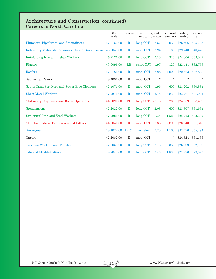### **Architecture and Construction (continued) Careers in North Carolina**

|                                                    | <b>SOC</b><br>code | interest     | min.<br>educ.   | growth<br>outlook | current<br>workers | salary<br>entry | salary<br>all |
|----------------------------------------------------|--------------------|--------------|-----------------|-------------------|--------------------|-----------------|---------------|
| Plumbers, Pipefitters, and Steamfitters            | 47-2152.00         | $\mathbf R$  | long OJT        | 2.57              | 13,060             | \$26,506        | \$35,795      |
| Refractory Materials Repairers, Except Brickmasons | 49-9045.00         | $\mathbf R$  | mod. OJT        | 2.24              | 130                | \$29,240        | \$40,428      |
| Reinforcing Iron and Rebar Workers                 | 47-2171.00         | $\mathbf R$  | $long$ OJT      | 2.10              | 320                | \$24,000        | \$33,842      |
| <b>Riggers</b>                                     | 49-9096.00         | <b>RE</b>    | short OJT       | 1.97              | 120                | \$22,441        | \$32,757      |
| Roofers                                            | 47-2181.00         | $\mathbb{R}$ | mod. OJT        | 2.28              | 4,090              | \$20,823        | \$27,863      |
| Segmental Pavers                                   | 47-4091.00         | $\mathbf R$  | mod. OJT        | $\ast$            | $\star$            | $\star$         | $\ast$        |
| Septic Tank Servicers and Sewer Pipe Cleaners      | 47-4071.00         | $\mathbf R$  | mod. OJT        | 1.96              | 600                | \$21,202        | \$30,884      |
| <b>Sheet Metal Workers</b>                         | 47-2211.00         | $\bf{R}$     | mod. OJT        | 2.18              | 6,830              | \$23,261        | \$31,991      |
| <b>Stationary Engineers and Boiler Operators</b>   | 51-8021.00         | RC           | long OJT        | $-0.16$           | 730                | \$24,839        | \$38,482      |
| Stonemasons                                        | 47-2022.00         | $\mathbb{R}$ | $long$ OJT      | 2.08              | 600                | \$23,807        | \$31,634      |
| <b>Structural Iron and Steel Workers</b>           | 47-2221.00         | $\mathbf R$  | $long$ OJT      | 1.35              | 1,520              | \$25,273        | \$33,667      |
| <b>Structural Metal Fabricators and Fitters</b>    | 51-2041.00         | $\mathbf R$  | mod. OJT        | 0.88              | 2,890              | \$23,640        | \$31,816      |
| <b>Surveyors</b>                                   | 17-1022.00         | <b>IERC</b>  | <b>Bachelor</b> | 2.28              | 1,160              | \$37,490        | \$55,494      |
| Tapers                                             | 47-2082.00         | $\mathbf R$  | mod. OJT        | $\ast$            | *                  | \$24,824        | \$31,133      |
| <b>Terrazzo Workers and Finishers</b>              | 47-2053.00         | $\mathbf R$  | $long$ OJT      | 2.18              | 360                | \$26,309        | \$32,130      |
| Tile and Marble Setters                            | 47-2044.00         | $\mathbb{R}$ | long OJT        | 2.45              | 1,830              | \$21,790        | \$29,525      |

 $\sqrt{14 \frac{9}{2}}$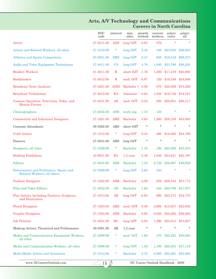|                                                                        | <b>SOC</b><br>code | interest      | min.<br>educ.   | growth<br>outlook | current<br>workers | salary<br>entry   | salary<br>all |
|------------------------------------------------------------------------|--------------------|---------------|-----------------|-------------------|--------------------|-------------------|---------------|
| $\rm{Actors}$                                                          | 27-2011.00         | <b>AES</b>    | long OJT        | $-0.63$           | 370                | $\star$           | $\star$       |
| Artists and Related Workers, all other                                 | 27-1019.99         | *             | long OJT        | 2.48              | <b>160</b>         | \$23,650          | \$56,887      |
| <b>Athletes and Sports Competitors</b>                                 | 27-2021.00         | <b>ERS</b>    | $long$ OJT      | 2.47              | 940                | \$16,519          | \$98,273      |
| Audio and Video Equipment Technicians                                  | 27-4011.00         | $\mathbf{CS}$ | long OJT        | 2.79              | 1,030              | \$23,799          | \$36,202      |
| <b>Bindery Workers</b>                                                 | 51-5011.00         | $\mathbf R$   | short OJT -1.76 |                   | 1,300              | \$17,478          | \$25,693      |
| <b>Bookbinders</b>                                                     | 51-5012.00         | $\mathbf R$   | mod. OJT -0.87  |                   | 120                | \$18,548          | \$24,956      |
| <b>Broadcast News Analysts</b>                                         | 27-3021.00         | <b>ASEI</b>   | Bachelor + 0.00 |                   | 270                | \$28,309          | \$75,229      |
| <b>Broadcast Technicians</b>                                           | 27-4012.00         | RA            | Associate       | 0.65              | 1,030              | \$19,726          | \$34,541      |
| Camera Operators, Television, Video, and<br><b>Motion Picture</b>      | 27-4031.00         | AR            | mod. OJT        | 0.24              | 280                | \$20,951          | \$36,417      |
| Choreographers                                                         | 27-2032.00         | <b>ASE</b>    | work exp.       | 1.10              | 120                | $\star$           | $\ast$        |
| <b>Commercial and Industrial Designers</b>                             | 27-1021.00         | <b>ARE</b>    | Bachelor        | 0.64              | 1,260              | \$28,338          | \$53,083      |
| Costume Attendants                                                     | 39-3092.00         | ARS           | short OJT       | $\ast$            | $\ast$             | $\ast$            | $\ast$        |
| <b>Craft Artists</b>                                                   | 27-1012.00         | *             | long OJT        | 0.34              | 490                | \$18,563          | \$24,789      |
| Dancers                                                                | 27-2031.00         | ARS           | long OJT        | $\ast$            | $\star$            | $\star$           | $\ast$        |
| Designers, all other                                                   | 27-1029.99         | *             | Bachelor        | 1.16              | 190                | \$25,569          | \$45,833      |
| <b>Desktop Publishers</b>                                              | 43-9031.00         | RA            | $1,2$ year      | 0.48              | 1,040              | \$24,621          | \$32,797      |
| Editors                                                                | 27-3041.00         | <b>AES</b>    | Bachelor        | 1.25              | 2,730              | \$28,667          | \$49,608      |
| Entertainers and Performers, Sports and<br>Related Workers, all others | 27-2099.99         | *             | long OJT        | 2.63              | 330                |                   | $\ast$        |
| <b>Fashion Designers</b>                                               | 27-1022.00         | <b>AER</b>    | Bachelor        | $-4.09$           | 250                | \$26,784          | \$57,173      |
| Film and Video Editors                                                 | 27-4032.00         | AE            | <b>Bachelor</b> | 1.60              | 440                | \$26,706 \$41,837 |               |
| Fine Artists, Including Painters, Sculptors,<br>and Illustrators       | 27-1013.00         | AR            | long OJT        | $-0.63$           | 690                | \$22,575          | \$34,770      |
| <b>Floral Designers</b>                                                | 27-1023.00         | <b>ARE</b>    | mod. OJT        | 0.49              | 2,680              | \$15,657          | \$22,602      |
| <b>Graphic Designers</b>                                               | 27-1024.00         | <b>AER</b>    | <b>Bachelor</b> | 0.95              | 6,030              | \$25,692          | \$39,693      |
| <b>Job Printers</b>                                                    | 51-5021.00         | $_{\rm RC}$   | long OJT        | $-0.93$           | 1,390              | \$23,013          | \$33,957      |
| Makeup Artists, Theatrical and Performance                             | 39-5091.00         | AR            | $1,2$ year      | $\ast$            | $\star$            | $\ast$            | $^\star$      |
| Media and Communication Equipment Workers,<br>all other                | 27-4099.99         | *             | mod. OJT        | 1.66              | 470                | \$25,225          | \$50,885      |
| Media and Communication Workers, all other                             | 27-3099.99         | *             | long OJT        | 1.58              | 1,190              | \$26,203          | \$47,119      |
| Multi-Media Artists and Animators                                      | 27-1014.00         | *             | <b>Bachelor</b> | 2.72              | 2,560              | \$32,261          | \$52,094      |

 $\sqrt{15 \frac{3}{2}}$ 

#### **Arts, A/V Technology and Communications Careers in North Carolina**

www.NCcareerOutlook.com NC Career Outlook Handbook - 2008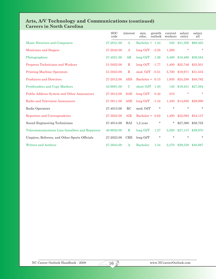#### **Arts, A/V Technology and Communications (continued) Careers in North Carolina**

|                                                  | <b>SOC</b><br>code | interest     | min.<br>educ.      | growth<br>outlook | current<br>workers | salary<br>entry | salary<br>all |
|--------------------------------------------------|--------------------|--------------|--------------------|-------------------|--------------------|-----------------|---------------|
| Music Directors and Composers                    | 27-2041.00         | A            | Bachelor + 1.24    |                   | 530                | \$31,308        | \$69,463      |
| Musicians and Singers                            | 27-2042.00         | $\mathbf{A}$ | $long$ OJT $-3.25$ |                   | 1,200              | ÷               | $\star$       |
| Photographers                                    | 27-4021.00         | AR           | $long$ OJT         | 1.26              | 3,480              | \$18,460        | \$39,584      |
| Prepress Technicians and Workers                 | 51-5022.00         | $\mathbb{R}$ | $long$ OJT $-1.77$ |                   | 1,400              | \$22,746        | \$33,501      |
| <b>Printing Machine Operators</b>                | 51-5023.00         | $\mathbf R$  | mod. OJT -0.51     |                   | 5,700              | \$19,971        | \$31,533      |
| <b>Producers and Directors</b>                   | 27-2012.00         | <b>AES</b>   | Bachelor + $0.15$  |                   | 1,930              | \$24,288        | \$48,782      |
| Proofreaders and Copy Markers                    | 43-9081.00         | $\mathbf C$  | short OJT          | 1.03              | 140                | \$19,451        | \$27,594      |
| Public Address System and Other Announcers       | 27-3012.00         | <b>SAE</b>   | long OJT           | 0.42              | 210                | $\star$         | $\star$       |
| Radio and Television Announcers                  | 27-3011.00         | <b>ASE</b>   | $long$ OJT         | $-1.34$           | 1,430              | \$14,650        | \$29,890      |
| Radio Operators                                  | 27-4013.00         | RC           | mod. OJT           | $\ast$            | $\ast$             | $\ast$          | $\star$       |
| Reporters and Correspondents                     | 27-3022.00         | <b>AIE</b>   | Bachelor + $0.62$  |                   | 1,400              | \$22,092        | \$34,137      |
| Sound Engineering Technicians                    | 27-4014.00         | RAI          | $1,2$ year         | $\ast$            | $\star$            | \$27,360        | \$38,752      |
| Telecommunications Line Installers and Repairers | 49-9052.00         | $\mathbb{R}$ | $long$ OJT         | 1.27              | 5,020              | \$27,137        | \$39,970      |
| Umpires, Referees, and Other Sports Officials    | 27-2023.00         | <b>CRE</b>   | $long$ OJT         | $\star$           | $\ast$             | $\star$         | $\ast$        |
| <b>Writers and Authors</b>                       | 27-3043.00         | A            | Bachelor           | 1.34              | 2,270              | \$29,338        | \$48,887      |

 $\overline{\mathbb{L}^{16} \mathbb{Z}}$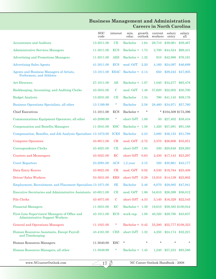#### **Business Management and Administration Careers in North Carolina**

|                                                                                         | <b>SOC</b><br>code | interest    | min.<br>educ.     | growth<br>outlook | current<br>workers | salary<br>entry         | salary<br>all      |
|-----------------------------------------------------------------------------------------|--------------------|-------------|-------------------|-------------------|--------------------|-------------------------|--------------------|
| <b>Accountants and Auditors</b>                                                         | 13-2011.00         | CE          | <b>Bachelor</b>   | 1.64              | 29,710             | \$39,061                | \$59,467           |
| <b>Administrative Services Managers</b>                                                 | 11-3011.00         | <b>ECS</b>  | Bachelor + $1.73$ |                   | 3,700              | \$44,524                | \$69,431           |
| <b>Advertising and Promotions Managers</b>                                              | 11-2011.00         | <b>AES</b>  | Bachelor + $1.32$ |                   | 910                | \$42,986                | \$76,191           |
| <b>Advertising Sales Agents</b>                                                         | 41-3011.00         | <b>ECS</b>  | mod. OJT          | 2.20              | 4,160              | \$24,097                | \$46,689           |
| Agents and Business Managers of Artists,<br>Performers, and Athletes                    | 13-1011.00         | <b>ESAC</b> | Bachelor + $2.14$ |                   | 650                | \$29,242                | \$47,005           |
| <b>Art Directors</b>                                                                    | 27-1011.00         | AE          | Bachelor + $1.07$ |                   | 1,040              | \$34,277                | \$65,478           |
| Bookkeeping, Accounting, and Auditing Clerks                                            | 43-3031.00         | $\mathbf C$ | mod. OJT          | 1.48              | 57,620             | \$22,002                | \$30,700           |
| <b>Budget Analysts</b>                                                                  | 13-2031.00         | CE          | <b>Bachelor</b>   | 1.34              | 790                | \$41,145                | \$59,176           |
| Business Operations Specialists, all other                                              | 13-1199.99         | $\ast$      | <b>Bachelor</b>   | 2.58              | 28,460             | \$34,971                | \$57,760           |
| <b>Chief Executives</b>                                                                 | 11-1011.00         | ECS         | Bachelor +        | $\ast$            |                    | * \$104,509 \$173,396   |                    |
| Communications Equipment Operators, all other                                           | 43-2099.99         | $\ast$      | short OJT         | 1.08              | 50                 | \$27,402                | \$38,434           |
| <b>Compensation and Benefits Managers</b>                                               | 11-3041.00         | <b>ESC</b>  | Bachelor + 1.58   |                   | 1,420              | \$57,091                | \$91,168           |
| Compensation, Benefits, and Job Analysis Specialists 13-1072.00                         |                    | <b>ICES</b> | <b>Bachelor</b>   | 2.23              | 3,880              | \$36,155                | \$51,798           |
| <b>Computer Operators</b>                                                               | 43-9011.00         | CR          | mod. OJT -2.72    |                   | 3,570              | \$26,606                | \$35,851           |
| Correspondence Clerks                                                                   | 43-4021.00         | CE          | short OJT         | 1.85              | 330                | \$20,648                | \$28,263           |
| <b>Couriers and Messengers</b>                                                          | 43-5021.00         | RC          | short OJT         | 0.63              | 2,430              | \$17,143                | \$23,297           |
| <b>Court Reporters</b>                                                                  | 23-2091.00         | <b>ACS</b>  | $1,2$ year        | 3.15              | 320                | \$30,961                | \$43,177           |
| Data Entry Keyers                                                                       | 43-9021.00         | CR          | mod. OJT          | 0.02              | 8,530              | \$19,784                | \$25,408           |
| <b>Driver/Sales Workers</b>                                                             | 53-3031.00         | <b>ERS</b>  | short OJT         | 0.29              | 15,910             | \$14,139                | \$23,802           |
| Employment, Recruitment, and Placement Specialists 13-1071.00                           |                    | <b>SE</b>   | <b>Bachelor</b>   | 2.46              | 6,070              | \$28,085                | \$47,941           |
| <b>Executive Secretaries and Administrative Assistants</b> 43-6011.00                   |                    | CE          | mod. OJT          | 1.86              | 54,610             | \$26,599                | \$36,012           |
| <b>File Clerks</b>                                                                      | 43-4071.00         | $\mathbf C$ | short OJT -4.33   |                   | 3,140              | \$16,329                | \$22,545           |
| <b>Financial Managers</b>                                                               | 11-3031.00         | EC          | Bachelor + 1.39   |                   | 19,610             |                         | \$59,385 \$100,044 |
| First-Line Supervisors/ Managers of Office and<br><b>Administrative Support Workers</b> | 43-1011.00         | <b>ECS</b>  | work exp.         | 1.08              | 40,320             |                         | \$29,780 \$43,637  |
| <b>General and Operations Managers</b>                                                  | 11-1021.00         | *           | Bachelor + 0.42   |                   | 55,280             |                         | \$55,777 \$108,323 |
| Human Resources Assistants, Except Payroll<br>and Timekeeping                           | 43-4161.00         | <b>CES</b>  | short OJT 1.32    |                   |                    | 4,250 \$24,174 \$32,221 |                    |
| Human Resources Managers                                                                | 11-3040.00         | ESC         | *                 | $\ast$            | $\ast$             | $\ast$                  | *                  |
| Human Resources Managers, all other                                                     | 11-3049.99         | $\ast$      | Bachelor + $1.45$ |                   |                    | 1,240 \$57,233 \$93,586 |                    |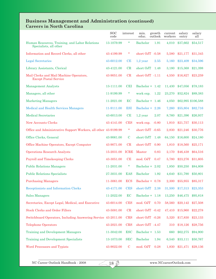# **Business Management and Administration (continued) Careers in North Carolina**

|                                                                          | <b>SOC</b><br>code | interest    | min.<br>educ.      | growth<br>outlook | current<br>workers | salary<br>entry | salary<br>all            |
|--------------------------------------------------------------------------|--------------------|-------------|--------------------|-------------------|--------------------|-----------------|--------------------------|
| Human Resources, Training, and Labor Relations<br>Specialists, all other | 13-1079.99         | *           | <b>Bachelor</b>    | 1.91              | 4,010              | \$37,662        | \$54,517                 |
| Information and Record Clerks, all other                                 | 43-4199.99         | $\ast$      | short $OJT - 0.58$ |                   | 5,580              | \$21,177        | \$31,345                 |
| <b>Legal Secretaries</b>                                                 | 43-6012.00         | CE          | $1,2$ year         | 2.55              | 5,160              | \$23,409        | \$34,596                 |
| Library Assistants, Clerical                                             | 43-4121.00         | CR          | short OJT          | 1.48              | 3,180              | \$15,368        | \$21,398                 |
| Mail Clerks and Mail Machine Operators,<br><b>Except Postal Service</b>  | 43-9051.00         | CR          | short $OJT -1.11$  |                   | 4,550              | \$16,827        | \$23,259                 |
| <b>Management Analysts</b>                                               | 13-1111.00         | <b>CEI</b>  | Bachelor + $1.42$  |                   | 11,430             | \$47,056        | \$78,183                 |
| Managers, all other                                                      | 11-9199.99         | $\ast$      | work exp.          | 1.22              | 23,270             | \$52,824        | \$89,383                 |
| <b>Marketing Managers</b>                                                | 11-2021.00         | EC          | Bachelor + $1.46$  |                   | 4,050              |                 | \$62,995 \$106,588       |
| <b>Medical and Health Services Managers</b>                              | 11-9111.00         | <b>ESI</b>  | Bachelor + $2.26$  |                   | 7,260              | \$55,804        | \$82,716                 |
| <b>Medical Secretaries</b>                                               | 43-6013.00         | CE          | $1,2$ year         | 2.07              | 8,760              | \$21,396        | \$26,937                 |
| <b>New Accounts Clerks</b>                                               | 43-4141.00         | <b>CES</b>  | work $exp. -0.80$  |                   | 1,910              | \$21,757        | \$30,113                 |
| Office and Administrative Support Workers, all other 43-9199.99          |                    | $\ast$      | short OJT -0.65    |                   | 2,830              | \$21,246        | \$30,776                 |
| Office Clerks, General                                                   | 43-9061.00         | $\mathbf C$ | short OJT          | 1.48              | 64,150             | \$16,600        | \$24,180                 |
| Office Machine Operators, Except Computer                                | 43-9071.00         | CR          | short OJT          | 0.90              | 1,810              | \$18,560        | \$25,171                 |
| <b>Operations Research Analysts</b>                                      | 15-2031.00         | ICRE        | Master             | 0.83              | 2,170              | \$46,438        | \$64,516                 |
| Payroll and Timekeeping Clerks                                           | 43-3051.00         | CE          | mod. OJT           | 0.47              | 5,780              | \$23,276        | \$31,605                 |
| <b>Public Relations Managers</b>                                         | 11-2031.00         | $\star$     | Bachelor + 2.02    |                   | 1,850              | \$50,250        | \$84,808                 |
| <b>Public Relations Specialists</b>                                      | 27-3031.00         | <b>EAS</b>  | <b>Bachelor</b>    | 1.92              | 4,640              | \$31,790        | \$50,801                 |
| <b>Purchasing Managers</b>                                               | 11-3061.00         | <b>ECS</b>  | Bachelor + 0.78    |                   | 2,300              | \$55,955        | \$85,317                 |
| Receptionists and Information Clerks                                     | 43-4171.00         | <b>CES</b>  | short OJT 2.38     |                   |                    |                 | 31,500 \$17,313 \$23,353 |
| <b>Sales Managers</b>                                                    | 11-2022.00         | EC          | Bachelor + 1.18    |                   | 13,250             | \$46,475        | \$95,818                 |
| Secretaries, Except Legal, Medical, and Executive                        | 43-6014.00         | <b>CES</b>  | mod. OJT 0.70      |                   | 58,560             | \$20,142        | \$27,508                 |
| <b>Stock Clerks and Order Fillers</b>                                    | 43-5081.00         | CR          | short OJT -0.42    |                   | 47,410             | \$15,960        | \$22,278                 |
| Switchboard Operators, Including Answering Service 43-2011.00            |                    | <b>CRS</b>  | short OJT -0.26    |                   | 5,320              | \$17,830        | \$23,133                 |
| <b>Telephone Operators</b>                                               | 43-2021.00         | <b>CRS</b>  | short OJT -4.47    |                   | 310                | \$18,126        | \$28,756                 |
| <b>Training and Development Managers</b>                                 | 11-3042.00         | <b>ESC</b>  | Bachelor + 1.53    |                   | 660                | \$62,275        | \$94,900                 |
| <b>Training and Development Specialists</b>                              | 13-1073.00         | <b>SEC</b>  | <b>Bachelor</b>    | 1.94              | 6,540              | \$33,111        | \$50,767                 |
| Word Processors and Typists                                              | 43-9022.00         | $\mathbf C$ | mod. OJT           | 0.28              |                    |                 | 1,830 \$21,471 \$29,136  |

 $\overline{\phantom{0}18\frac{1}{2}}$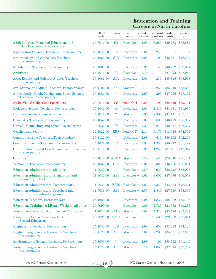# **Education and Training Careers in North Carolina**

|                                                                                | SOC<br>code             | interest      | min.<br>educ.     | growth<br>outlook | current<br>workers | salary<br>entry | salary<br>all |
|--------------------------------------------------------------------------------|-------------------------|---------------|-------------------|-------------------|--------------------|-----------------|---------------|
| Adult Literacy, Remedial Education, and<br><b>GED Teachers and Instructors</b> | 25-3011.00              | <b>SA</b>     | <b>Bachelor</b>   | 2.05              | 3,580              | \$29,283        | \$38,884      |
| Agricultural Sciences Teachers, Postsecondary                                  | 25-1041.00              | <b>IS</b>     | Doctorate         | 2.98              | 240                | $\ast$          |               |
| Anthropology and Archeology Teachers,<br>Postsecondary                         | 25-1061.00              | <b>SIA</b>    | Doctorate         | 3.05              | 90                 | \$42,671        | \$76,334      |
| <b>Architecture Teachers, Postsecondary</b>                                    | 25-1031.00              | *             | Doctorate         | 2.99              | 140                | \$40,792        | \$62,374      |
| Archivists                                                                     | 25-4011.00              | IC            | <b>Bachelor</b>   | 1.49              | 110                | \$27,073        | \$37,913      |
| Area, Ethnic, and Cultural Studies Teachers,<br>Postsecondary                  | 25-1062.00              | <b>SIA</b>    | Doctorate         | 3.01              | 230                | \$35,845        | \$58,908      |
| Art, Drama, and Music Teachers, Postsecondary                                  | 25-1121.00              | <b>ASI</b>    | <b>Master</b>     | 3.13              | 2,230              | \$35,219        | \$53,683      |
| Atmospheric, Earth, Marine, and Space Sciences<br>Teachers, Postsecondary      | 25-1051.00              | *             | Doctorate         | 2.97              | 290                | \$47,276        | \$77,107      |
| <b>Audio-Visual Collections Specialists</b>                                    | 25-9011.00              | $\mathbf{CS}$ | mod. OJT          | $-0.84$           | 90                 | \$25,649        | \$39,101      |
| <b>Biological Science Teachers, Postsecondary</b>                              | 25-1042.00              | <b>IS</b>     | Doctorate         | 3.01              | 1,310              | \$43,981        | \$71,906      |
| <b>Business Teachers, Postsecondary</b>                                        | 25-1011.00              | $\ast$        | <b>Master</b>     | 2.96              | 2,380              | \$41,141        | \$67,173      |
| <b>Chemistry Teachers, Postsecondary</b>                                       | 25-1052.00              | <b>ISR</b>    | Doctorate         | 3.00              | 600                | \$43,129        | \$68,987      |
| Clinical, Counseling, and School Psychologists                                 | 19-3031.00              | <b>IS</b>     | Doctorate         | 2.39              | 3,240              | \$40,677        | \$62,327      |
| <b>Coaches and Scouts</b>                                                      | 27-2022.00              | <b>ERS</b>    | long OJT          | 2.14              | 5,170              | \$18,515        | \$34,572      |
| <b>Communications Teachers, Postsecondary</b>                                  | 25-1122.00              | $\ast$        | Doctorate         | 2.99              | 610                | \$36,172        | \$52,206      |
| <b>Computer Science Teachers, Postsecondary</b>                                | 25-1021.00              | IC            | Doctorate         | 2.94              | 1,330              | \$40,712        | \$61,492      |
| Criminal Justice and Law Enforcement Teachers,<br>Postsecondary                | 25-1111.00              | *             | Doctorate         | 2.95              | 1,240              | \$37,431        | \$47,947      |
| Curators                                                                       | 25-4012.00 AIECS Master |               |                   | 1.74              | 520                | \$25,648        | \$38,764      |
| Economics Teachers, Postsecondary                                              | 25-1063.00              | <b>SIA</b>    | Doctorate         | 3.01              | 320                | \$46,586        | \$86,261      |
| Education Administrators, all other                                            | 11-9039.99              | $\ast$        | Bachelor +        | 1.50              | 930                | \$38,248        | \$62,923      |
| <b>Education Administrators, Elementary and</b><br><b>Secondary School</b>     | 11-9032.00              | <b>SEI</b>    | Bachelor + $1.62$ |                   | 8,000              | \$47,376        | \$66,058      |
| <b>Education Administrators, Postsecondary</b>                                 | 11-9033.00              | <b>ECIS</b>   | Bachelor $+2.23$  |                   | 4,550              | \$43,683        | \$76,521      |
| <b>Education Administrators</b> , Preschool and<br>Child Care Center/ Program  | 11-9031.00              | <b>SEI</b>    | Bachelor + 2.57   |                   | 1,840              | \$27,719        | \$38,569      |
| <b>Education Teachers, Postsecondary</b>                                       | 25-1081.00              | *             | Doctorate         | 3.08              | 1,830              | \$38,662        | \$55,105      |
| Education, Training, & Library Workers, all other                              | 25-9099.99              | $\ast$        | <b>Bachelor</b>   | 1.60              | 2,720              | \$24,962        | \$40,282      |
| Educational, Vocational, and School Counselors                                 | 21-1012.00              | <b>SACE</b>   | Master            | 1.88              | 5,310              | \$33,526        | \$45,337      |
| <b>Elementary School Teachers, Except</b><br><b>Special Education</b>          | 25-2021.00              | <b>SAIC</b>   | <b>Bachelor</b>   | 2.17              | 36,580             | \$29,969        | \$39,671      |
| <b>Engineering Teachers, Postsecondary</b>                                     | 25-1032.00              | <b>IRS</b>    | Doctorate         | 2.98              | 650                | \$52,043        | \$84,120      |
| English Language and Literature Teachers,<br>Postsecondary                     | 25-1123.00              | <b>ASI</b>    | <b>Master</b>     | 3.02              | 2,280              | \$35,521        | \$53,366      |
| <b>Environmental Science Teachers, Postsecondary</b>                           | 25-1053.00              | $\ast$        | Doctorate         | 2.99              | <b>100</b>         | \$38,712        | \$61,440      |
| Foreign Language and Literature Teachers,<br>Postsecondary                     | 25-1124.00              | <b>ASI</b>    | <b>Master</b>     | 3.16              | 1,000              | \$32,814        | \$52,232      |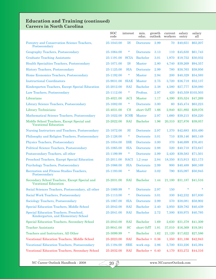#### **Education and Training (continued) Careers in North Carolina**

|                                                                               | <b>SOC</b><br>code | interest    | min.<br>educ.   | growth<br>outlook | current<br>workers | salary<br>entry | salary<br>all      |
|-------------------------------------------------------------------------------|--------------------|-------------|-----------------|-------------------|--------------------|-----------------|--------------------|
| Forestry and Conservation Science Teachers,<br>Postsecondary                  | 25-1043.00         | <b>IS</b>   | Doctorate       | 2.99              | 70                 | \$40,651        | \$63,207           |
| Geography Teachers, Postsecondary                                             | 25-1064.00         | $\ast$      | Doctorate       | 3.13              | <b>110</b>         | \$45,630        | \$61,743           |
| <b>Graduate Teaching Assistants</b>                                           | 25-1191.00         | <b>SCIA</b> | <b>Bachelor</b> | 3.01              | 1,970              | \$19,752        | \$30,032           |
| Health Specialties Teachers, Postsecondary                                    | 25-1071.00         | <b>IS</b>   | <b>Master</b>   | 2.80              | 4,740              | \$39,269        | \$94,357           |
| <b>History Teachers, Postsecondary</b>                                        | 25-1125.00         | SIA         | Doctorate       | 2.99              | 780                | \$38,763        | \$59,956           |
| Home Economics Teachers, Postsecondary                                        | 25-1192.00         | $\ast$      | <b>Master</b>   | 2.94              | <b>200</b>         | \$40,329        | \$54,593           |
| <b>Instructional Coordinators</b>                                             | 25-9031.00         | <b>SIAE</b> | <b>Master</b>   | 2.75              | 3,720              | \$36,719        | \$52,137           |
| Kindergarten Teachers, Except Special Education                               | 25-2012.00         | <b>SAI</b>  | <b>Bachelor</b> | 2.38              | 4,580              | \$27,777        | \$38,080           |
| Law Teachers, Postsecondary                                                   | 25-1112.00         | $\ast$      | Profess.        | 2.97              | 420                |                 | \$45,559 \$103,503 |
| Librarians                                                                    | 25-4021.00         | <b>ACI</b>  | <b>Master</b>   | 1.17              | 4,390              | \$35,524        | \$47,269           |
| Library Science Teachers, Postsecondary                                       | 25-1082.00         | $\ast$      | Doctorate       | 3.00              | 60                 | \$45,474        | \$63,223           |
| Library Technicians                                                           | 25-4031.00         | CS          | short OJT       | 1.66              | 2,940              | \$21,892        | \$29,076           |
| Mathematical Science Teachers, Postsecondary                                  | 25-1022.00         | <b>ICSR</b> | <b>Master</b>   | 2.97              | 1,660              | \$39,215        | \$58,220           |
| Middle School Teachers, Except Special and<br><b>Vocational Education</b>     | 25-2022.00         | <b>SAI</b>  | <b>Bachelor</b> | 1.96              | 20,310             | \$27,876        | \$39,057           |
| Nursing Instructors and Teachers, Postsecondary                               | 25-1072.00         | SI          | Doctorate       | 2.97              | 1,370              | \$42,683        | \$55,490           |
| Philosophy and Religion Teachers, Postsecondary                               | 25-1126.00         | $\ast$      | Doctorate       | 3.01              | 710                | \$39,146        | \$65,149           |
| Physics Teachers, Postsecondary                                               | 25-1054.00         | <b>ISR</b>  | Doctorate       | 3.00              | 370                | \$46,699        | \$76,401           |
| Political Science Teachers, Postsecondary                                     | 25-1065.00         | <b>SIA</b>  | Doctorate       | 2.98              | 520                | \$40,710        | \$72,647           |
| Postsecondary Teachers, all other                                             | 25-1199.99         | $\ast$      | Doctorate       | 2.99              | 2,420              | \$39,583        | \$71,501           |
| <b>Preschool Teachers, Except Special Education</b>                           | 25-2011.00         | <b>SACI</b> | $1,2$ year      | 2.84              | 18,350             | \$15,913        | \$21,173           |
| <b>Psychology Teachers, Postsecondary</b>                                     | 25-1066.00         | <b>SIA</b>  | Doctorate       | 2.99              | 900                | \$40,488        | \$60,169           |
| Recreation and Fitness Studies Teachers,<br>Postsecondary                     | 25-1193.00         | $\ast$      | <b>Master</b>   | $3.02\,$          | 790                | \$35,097        | \$50,945           |
| Secondary School Teachers, Except Special and<br><b>Vocational Education</b>  | 25-2031.00         | <b>SAI</b>  | <b>Bachelor</b> | 1.44              | 21.100             | \$31,187        | \$41,516           |
| Social Sciences Teachers, Postsecondary, all other                            | 25-1069.99         | *           | Doctorate       | 2.97              | <b>150</b>         |                 |                    |
| Social Work Teachers, Postsecondary                                           | 25-1113.00         | $\ast$      | Doctorate       | 3.01              | 330                | \$42,232        | \$57,830           |
| Sociology Teachers, Postsecondary                                             | 25-1067.00         | <b>SIA</b>  | Doctorate       | 2.99              | 570                | \$38,081        | \$58,902           |
| Special Education Teachers, Middle School                                     | 25-2042.00         | <b>SAI</b>  | <b>Bachelor</b> | 2.40              | 2,950              | \$29,782        | \$40,439           |
| Special Education Teachers, Preschool,<br>Kindergarten, and Elementary School | 25-2041.00         | <b>SAI</b>  | <b>Bachelor</b> | 2.72              | 7,500              | \$30,975        | \$40,795           |
| Special Education Teachers, Secondary School                                  | 25-2043.00         | <b>SAI</b>  | <b>Bachelor</b> | 1.69              | 2,630              | \$31,378        | \$41,309           |
| <b>Teacher Assistants</b>                                                     | 25-9041.00         | <b>SC</b>   | short OJT       | 1.81              | 37,010             | \$16,369        | \$19,381           |
| Teachers and Instructors, All Other                                           | 25-3099.99         | $\ast$      | <b>Bachelor</b> | 1.62              | 21,120             | \$17,622        | \$27,586           |
| Vocational Education Teachers, Middle School                                  | 25-2023.00         | <b>SAI</b>  | Bachelor +      | 0.36              | 1,350              | \$31,186        | \$42,943           |
| <b>Vocational Education Teachers, Postsecondary</b>                           | 25-1194.00         | <b>SRE</b>  | work exp.       | 2.86              | 5,700              | \$33,226        | \$45,394           |
| Vocational Education Teachers, Secondary School                               | 25-2032.00         | <b>SAI</b>  | Bachelor + 0.40 |                   | 4,170              | \$33,272        | \$44,316           |

 $20 \cancel{3}$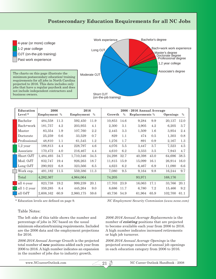# **Postsecondary Education Requirements for all NC Jobs**

4-year (or more) college 1-2 year college OJT (on-the-job training) Past work experience

The charts on this page illustrate the minimum postsecondary education/ training requirements for all jobs in North Carolina projected to 2016. This data includes only jobs that have a regular paycheck and does not include independent contractors and business owners.



| Education    | 2006<br>2016 |      |            |      | 2006 - 2016 Annual Average |      |                |      |                 |      |  |  |
|--------------|--------------|------|------------|------|----------------------------|------|----------------|------|-----------------|------|--|--|
| Level *      | Employment % |      | Employment | $\%$ | Growth                     | $\%$ | Replacements % |      | <b>Openings</b> | $\%$ |  |  |
| Bachelor     | 484,558      | 11.3 | 592,450    | 11.9 | 10,853                     | 14.6 | 9,284          | 9.9  | 20,137          | 12.0 |  |  |
| Bach+work    | 181,757      | 4.2  | 203,955    | 4.1  | 2,300                      | 3.1  | 3,905          | 4.2  | 6,205           | 3.7  |  |  |
| Master       | 83,354       | 1.9  | 107,760    | 2.2  | 2,445                      | 3.3  | 1,509          | 1.6  | 3,954           | 2.4  |  |  |
| Doctorate    | 25,259       | 0.6  | 33,529     | 0.7  | 829                        | 1.1  | 474            | 0.5  | 1,303           | 0.8  |  |  |
| Professional | 48,810       | 1.1  | 61,545     | 1.2  | 1,276                      | 1.7  | 891            | 0.9  | 2,167           | 1.3  |  |  |
| $1,2$ year   | 188,813      | 4.4  | 228,797    | 4.6  | 4,076                      | 5.5  | 3,447          | 3.7  | 7,523           | 4.5  |  |  |
| Associate    | 170,472      | 4.0  | 216,467    | 4.4  | 4,610                      | 6.2  | 3,333          | 3.5  | 7,943           | 4.7  |  |  |
| Short OJT    | 1,484,493    | 34.7 | 1,710,346  | 34.5 | 24,298                     | 32.7 | 40,398         | 43.0 | 64,696          | 38.5 |  |  |
| Mod. OJT     | 832,747      | 19.4 | 926,263    | 18.7 | 11,815                     | 15.9 | 15,099         | 16.1 | 26,914          | 16.0 |  |  |
| Long OJT     | 290,922      | 6.8  | 323,566    | 6.5  | 4,623                      | 6.2  | 6,467          | 6.9  | 11,090          | 6.6  |  |  |
| Work exp.    | 491,182      | 11.5 | 559,386    | 11.3 | 7,080                      | 9.5  | 9,164          | 9.8  | 16,244          | 9.7  |  |  |
| Total        | 4,282,367    |      | 4,964,064  |      | 74,205                     |      | 93,971         |      | 168,176         |      |  |  |
| all 4-year   | 823,738      | 19.2 | 999,239    | 20.1 | 17,703                     | 23.9 | 16,063         | 17.1 | 33,766          | 20.1 |  |  |
| all 1-2 year | 359,285      | 8.4  | 445,264    | 9.0  | 8,686                      | 11.7 | 6,780          | 7.2  | 15,466          | 9.2  |  |  |
| all OJT      | 2,608,162    | 60.9 | 2,960,175  | 59.6 | 40,736                     | 54.9 | 61,964         | 65.9 | 102,700         | 61.1 |  |  |

\* Education levels are defined on page 9.

*NC Employment Security Commission (www.ncesc.com)*

#### Table Notes:

The left side of this table shows the number and percentage of jobs in NC based on the usual minimum education/training requirements. Included are the 2006 data and the employment projections for 2016.

*2006-2016 Annual Average Growth* is the projected total number of *new* positions added each year from 2006 to 2016. A high number indicates an expansion in the number of jobs due to industry growth.

*2006-2016 Annual Average Replacements* is the number of *existing* positions that are projected to become available each year from 2006 to 2016. A high number indicates increased retirements or high job turnover.

*2006-2016 Annual Average Openings* is the projected average number of annual job openings in each education category from 2006 to 2016.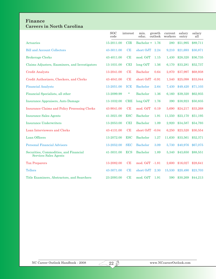#### **Finance Careers in North Carolina**

|                                                                 | <b>SOC</b><br>code | interest     | min.<br>educ.   | growth<br>outlook | current<br>workers | salary<br>entry | salary<br>all |
|-----------------------------------------------------------------|--------------------|--------------|-----------------|-------------------|--------------------|-----------------|---------------|
| Actuaries                                                       | 15-2011.00         | <b>CIR</b>   | Bachelor + 1.76 |                   | 280                | \$51,995        | \$89,711      |
| <b>Bill and Account Collectors</b>                              | 43-3011.00         | CE           | short OJT       | 2.24              | 9,210              | \$21,693        | \$30,871      |
| <b>Brokerage Clerks</b>                                         | 43-4011.00         | CE           | mod. OJT        | 1.15              | 1,430              | \$28,320        | \$36,735      |
| Claims Adjusters, Examiners, and Investigators                  | 13-1031.00         | <b>CEI</b>   | long OJT        | 1.56              | 6,170              | \$33,281        | \$52,737      |
| <b>Credit Analysts</b>                                          | 13-2041.00         | CE           | <b>Bachelor</b> | 0.64              | 2,870              | \$37,997        | \$68,938      |
| Credit Authorizers, Checkers, and Clerks                        | 43-4041.00         | CE           | short OJT       | $-0.91$           | 1,540              | \$25,098        | \$33,044      |
| <b>Financial Analysts</b>                                       | 13-2051.00         | <b>ICE</b>   | <b>Bachelor</b> | 2.64              | 7,430              | \$49,420        | \$71,103      |
| Financial Specialists, all other                                | 13-2099.99         | $\ast$       | <b>Bachelor</b> | 1.36              | 6,160              | \$39,320        | \$62,935      |
| <b>Insurance Appraisers, Auto Damage</b>                        | 13-1032.00         | $_{\rm CRE}$ | long OJT        | 1.76              | 390                | \$38,923        | \$50,835      |
| <b>Insurance Claims and Policy Processing Clerks</b>            | 43-9041.00         | CE           | mod. OJT        | 0.19              | 5,690              | \$24,217        | \$33,268      |
| <b>Insurance Sales Agents</b>                                   | 41-3021.00         | <b>ESC</b>   | <b>Bachelor</b> | 1.91              | 11,550             | \$23,170        | \$51,195      |
| <b>Insurance Underwriters</b>                                   | 13-2053.00         | <b>CEI</b>   | <b>Bachelor</b> | 1.09              | 2,920              | \$34,587        | \$54,793      |
| Loan Interviewers and Clerks                                    | 43-4131.00         | CE           | short OJT -0.04 |                   | 6,250              | \$23,520        | \$30,554      |
| Loan Officers                                                   | 13-2072.00         | <b>ESC</b>   | <b>Bachelor</b> | 1.27              | 11,630             | \$33,561        | \$52,371      |
| <b>Personal Financial Advisors</b>                              | 13-2052.00         | <b>SEC</b>   | <b>Bachelor</b> | 3.09              | 5,730              | \$40,976        | \$67,075      |
| Securities, Commodities, and Financial<br>Services Sales Agents | 41-3031.00         | <b>ECS</b>   | <b>Bachelor</b> | 1.89              | 5,340              | \$43,650        | \$88,551      |
| <b>Tax Preparers</b>                                            | 13-2082.00         | CE           | mod. OJT        | $-1.81$           | 2,600              | \$16,027        | \$28,641      |
| <b>Tellers</b>                                                  | 43-3071.00         | CE           | short OJT       | 2.30              | 15,530             | \$20,490        | \$23,703      |
| Title Examiners, Abstractors, and Searchers                     | 23-2093.00         | CE           | mod. OJT        | 1.91              | 590                | \$30,269        | \$44,213      |

 $223$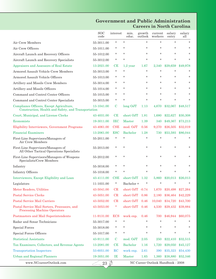### **Government and Public Administration Careers in North Carolina**

|                                                                                                 | <b>SOC</b><br>code                                    | interest    | min.<br>educ.                     | growth<br>outlook | current<br>workers | salary<br>entry | salary<br>all     |  |
|-------------------------------------------------------------------------------------------------|-------------------------------------------------------|-------------|-----------------------------------|-------------------|--------------------|-----------------|-------------------|--|
| Air Crew Members                                                                                | 55-3011.00                                            | $\star$     | $\star$                           | $\star$           | $\star$            | $\star$         | $\star$           |  |
| Air Crew Officers                                                                               | 55-1011.00                                            | *           | $\ast$                            | $\ast$            | *                  | $\ast$          | $\ast$            |  |
| Aircraft Launch and Recovery Officers                                                           | 55-1012.00                                            | *           | $\star$                           | $\star$           | *                  | $\ast$          | $\ast$            |  |
| Aircraft Launch and Recovery Specialists                                                        | 55-3012.00                                            | *           | $\star$                           | $\star$           | $\ast$             | $\ast$          | $\star$           |  |
| Appraisers and Assessors of Real Estate                                                         | 13-2021.00                                            | CЕ          | $1,2$ year                        | 1.67              | 2.340              | \$29,659        | \$49,978          |  |
| Armored Assault Vehicle Crew Members                                                            | 55-3013.00                                            | *           | $\ast$                            | $\star$           | $\ast$             | $\star$         | *.                |  |
| Armored Assault Vehicle Officers                                                                | 55-1013.00                                            | *           | $\ast$                            | $\ast$            | *                  | $\ast$          | $\ast$            |  |
| Artillery and Missile Crew Members                                                              | 55-3014.00                                            | *           | $\ast$                            | $\ast$            | $\star$            | $\ast$          | $\ast$            |  |
| Artillery and Missile Officers                                                                  | 55-1014.00                                            | *           | $\ast$                            | $\ast$            | *                  | $\ast$          | $\ast$            |  |
| Command and Control Center Officers                                                             | 55-1015.00                                            | *           | $\ast$                            | $\ast$            | *                  | $\ast$          | *.                |  |
| Command and Control Center Specialists                                                          | 55-3015.00                                            | *           | $\ast$                            | $\ast$            | *                  | $\ast$          | $\ast$            |  |
| Compliance Officers, Except Agriculture,<br>Construction, Health and Safety, and Transportation | 13-1041.00                                            | C           | long OJT                          | 1.13              | 4,670              | \$32,067        | \$48,517          |  |
| Court, Municipal, and License Clerks                                                            | 43-4031.00                                            | CЕ          | short OJT                         | 1.81              | 1,680              | \$22,627        | \$30,308          |  |
| Economists                                                                                      | 19-3011.00                                            | IEC         | Master                            | 1.39              | 340                | \$49,367        | \$73,213          |  |
| <b>Eligibility Interviewers, Government Programs</b>                                            | 43-4061.00                                            | <b>CSE</b>  | mod. OJT                          | 0.56              | 9,270              | \$26,505        | \$32,019          |  |
| <b>Financial Examiners</b>                                                                      | 13-2061.00                                            | <b>ESC</b>  | <b>Bachelor</b>                   | 1.28              | 730                | \$53,593        | \$86,044          |  |
| First-Line Supervisors/Managers of<br>Air Crew Members                                          | 55-2011.00                                            | $\ast$      | $\star$                           | *                 | $\ast$             | $\star$         | $\ast$            |  |
| First-Line Supervisors/Managers of<br>All Other Tactical Operations Specialists                 | 55-2013.00                                            | *           | $\star$                           | $\star$           | *                  | $\ast$          | *                 |  |
| First-Line Supervisors/Managers of Weapons<br>Specialists/Crew Members                          | 55-2012.00                                            | *           | $\ast$                            | $\ast$            | *                  | $\ast$          | $\ast$            |  |
| Infantry                                                                                        | 55-3016.00                                            | *           | $\ast$                            | $\ast$            | *                  | $\ast$          | *                 |  |
| <b>Infantry Officers</b>                                                                        | 55-1016.00                                            | *           | $\star$                           | $\star$           | $\ast$             | $\ast$          | $\ast$            |  |
| Interviewers, Except Eligibility and Loan                                                       | 43-4111.00                                            | CSE         | short OJT                         | 1.32              | 5,860              | \$20,013        | \$26,013          |  |
| Legislators                                                                                     | 11-1031.00                                            | *           | Bachelor +                        |                   |                    |                 | *                 |  |
| Meter Readers, Utilities                                                                        | 43-5041.00 CR short OJT -0.74 1,670 \$20,498 \$27,264 |             |                                   |                   |                    |                 |                   |  |
| <b>Postal Service Clerks</b>                                                                    | 43-5051.00                                            | CR          | short OJT                         | 0.86              | 2,180              | \$36,464        | \$42,229          |  |
| <b>Postal Service Mail Carriers</b>                                                             | 43-5052.00                                            | CR          | short OJT                         | 0.46              | 10,040             | \$34,720        | \$43,700          |  |
| Postal Service Mail Sorters, Processors, and<br><b>Processing Machine Operators</b>             | 43-5053.00                                            | ×           | short OJT                         | 0.46              | 4,530              | \$29,432        | \$39,884          |  |
| Postmasters and Mail Superintendents                                                            | 11-9131.00                                            | <b>ECS</b>  | work exp.                         | 0.46              | 700                | \$46,944        | \$60,075          |  |
| Radar and Sonar Technicians                                                                     | 55-3017.00                                            | *           | $\ast$                            | $\star$           | $\star$            | $\ast$          |                   |  |
| <b>Special Forces</b>                                                                           | 55-3018.00                                            | *           | $\ast$                            | $\ast$            | *                  | *               | *                 |  |
| <b>Special Forces Officers</b>                                                                  | 55-1017.00                                            | *           | $\ast$                            | $\ast$            | *.                 | $\ast$          | *                 |  |
| <b>Statistical Assistants</b>                                                                   | 43-9111.00                                            | C           | mod. OJT                          | 2.05              | 250                | \$22,410        | \$32,515          |  |
| Tax Examiners, Collectors, and Revenue Agents                                                   | 13-2081.00                                            | CE          | <b>Bachelor</b>                   | 1.16              | 1,720              | \$29,050        | \$45,127          |  |
| <b>Transportation Inspectors</b>                                                                | 53-6051.00                                            | $_{\rm RC}$ | work exp.                         | 2.61              | 390                | \$35,323        | \$54,430          |  |
| <b>Urban and Regional Planners</b>                                                              | 19-3051.00                                            | IE          | <b>Master</b>                     | 1.65              | 1,360              |                 | \$38,880 \$52,346 |  |
| www.NCcareerOutlook.com                                                                         | 23                                                    | S           | NC Career Outlook Handbook - 2008 |                   |                    |                 |                   |  |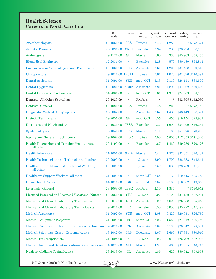# **Health Science Careers in North Carolina**

|                                                               | <b>SOC</b><br>code        | interest     | min.<br>educ.   | growth<br>outlook | current<br>workers | salary<br>entry | salary<br>all             |
|---------------------------------------------------------------|---------------------------|--------------|-----------------|-------------------|--------------------|-----------------|---------------------------|
| Anesthesiologists                                             | 29-1061.00                | <b>IRS</b>   | Profess.        | 2.43              | 1,280              |                 | * $$178,674$              |
| <b>Athletic Trainers</b>                                      | 29-9091.00                | <b>SREI</b>  | <b>Bachelor</b> | 2.94              | 280                | \$28,726        | \$38,169                  |
| Audiologists                                                  | 29-1121.00                | <b>SIR</b>   | <b>Master</b>   | 1.80              | 330                | \$45,963        | \$58,755                  |
| <b>Biomedical Engineers</b>                                   | 17-2031.00                | $\ast$       | <b>Bachelor</b> | 3.28              | 570                | \$50,489        | \$74,841                  |
| Cardiovascular Technologists and Technicians                  | 29-2031.00                | <b>IRS</b>   | Associate       | 2.61              | 1,220              | \$37,468        | \$50,315                  |
| Chiropractors                                                 | 29-1011.00 IRSAE Profess. |              |                 | 2.81              | 1,020              |                 | \$61,390 \$110,391        |
| <b>Dental Assistants</b>                                      | 31-9091.00                | <b>SRE</b>   | mod. OJT        | 3.13              | 7,110              | \$26,114        | \$33,679                  |
| Dental Hygienists                                             | 29-2021.00                | <b>SCRE</b>  | Associate       | 3.21              | 4,800              | \$47,962        | \$60,290                  |
| <b>Dental Laboratory Technicians</b>                          | 51-9081.00                | $\mathbf{R}$ | $long$ OJT      | 1.01              | 1,370              | \$24,663        | \$34,143                  |
| Dentists, All Other Specialists                               | 29-1029.99                | $\ast$       | Profess.        | $\ast$            | $\ast$             |                 | \$82,395 \$152,030        |
| Dentists, General                                             | 29-1021.00                | <b>IRS</b>   | Profess.        | 1.48              | 3,220              |                 | $*$ \$178,182             |
| Diagnostic Medical Sonographers                               | 29-2032.00                | $\ast$       | Associate       | 2.62              | 1,480              | \$48,149        | \$58,671                  |
| Dietetic Technicians                                          | 29-2051.00                | <b>SRI</b>   | mod. OJT        | 1.55              | 450                | \$18,154        | \$25,981                  |
| Dietitians and Nutritionists                                  | 29-1031.00                | <b>IESR</b>  | Bachelor        | 1.32              | 1,600              | \$34,999        | \$46,232                  |
| Epidemiologists                                               | 19-1041.00                | <b>IRS</b>   | <b>Master</b>   | 2.11              | 130                | \$51,876        | \$70,263                  |
| <b>Family and General Practitioners</b>                       | 29-1062.00                | <b>IESR</b>  | Profess.        | 2.08              |                    |                 | 5,800 \$117,333 \$171,340 |
| Health Diagnosing and Treating Practitioners,<br>all other    | 29-1199.99                | $\ast$       | Bachelor        | 1.67              | 1,460              | \$49,236        | \$70,176                  |
| <b>Health Educators</b>                                       | 21-1091.00                | <b>SEIA</b>  | <b>Master</b>   | 2.44              | 1,570              | \$32,831        | \$46,434                  |
| Health Technologists and Technicians, all other               | 29-2099.99                | $\ast$       | $1,2$ year      | 2.90              | 1,790              | \$28,583        | \$44,641                  |
| Healthcare Practitioners & Technical Workers,<br>all other    | 29-9099.99                | $\ast$       | $1,2$ year      | 2.59              | 2,680              | \$28,759        | \$41,736                  |
| Healthcare Support Workers, all other                         | 31-9099.99                | $\ast$       | short OJT       | 2.54              | 10,160             | \$19,445        | \$25,758                  |
| <b>Home Health Aides</b>                                      | 31-1011.00                | SR           | short OJT       | 3.32              | 72,130             | \$16,382        | \$19,656                  |
| Internists, General                                           | 29-1063.00                | <b>IESR</b>  | Profess.        | 2.10              | 1,330              |                 | $*$ \$190,952             |
| Licensed Practical and Licensed Vocational Nurses             | 29-2061.00                | <b>SRI</b>   | $1,2$ year      | 1.92              | 16,190             | \$31,182        | \$37,904                  |
| Medical and Clinical Laboratory Technicians                   | 29-2012.00                | <b>RIC</b>   | Associate       | 1.99              | 4,690              | \$26,288        | \$35,248                  |
| Medical and Clinical Laboratory Technologists                 | 29-2011.00                | IR           | <b>Bachelor</b> | 1.50              | 5,050              | \$35,272        | \$47,499                  |
| <b>Medical Assistants</b>                                     | 31-9092.00                | <b>SCR</b>   | mod. OJT        | 4.08              | 9,420              | \$20,951        | \$26,769                  |
| <b>Medical Equipment Preparers</b>                            | 31-9093.00                | RC           | short OJT       | 2.03              | 1,550              | \$21,312        | \$26,789                  |
| Medical Records and Health Information Technicians 29-2071.00 |                           | CR           | Associate       | 2.62              | 5,130              | \$20,642        | \$28,501                  |
| Medical Scientists, Except Epidemiologists                    | 19-1042.00                | <b>IRS</b>   | Doctorate       | 3.67              | 2,660              | \$47,391        | \$80,910                  |
| <b>Medical Transcriptionists</b>                              | 31-9094.00                | $\ast$       | $1,2$ year      | 1.96              | 2,970              | \$25,702        | \$32,096                  |
| Mental Health and Substance Abuse Social Workers              | 21-1023.00                | <b>SIA</b>   | <b>Master</b>   | 4.34              | 3,460              | \$31,035        | \$40,215                  |
| Nuclear Medicine Technologists                                | 29-2033.00                | IR           | Associate       | 1.86              | 620                | \$50,642        | \$59,667                  |

 $243$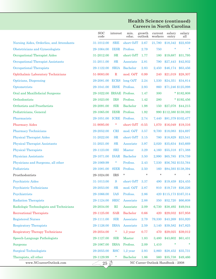#### **Health Science (continued) Careers in North Carolina**

|                                          | <b>SOC</b><br>code        | interest    | min.<br>educ.   | growth<br>outlook | current<br>workers | salary<br>entry                   | salary<br>all           |
|------------------------------------------|---------------------------|-------------|-----------------|-------------------|--------------------|-----------------------------------|-------------------------|
| Nursing Aides, Orderlies, and Attendants | 31-1012.00                | <b>SRE</b>  | short OJT       | 2.67              | 21,780             | \$18,342                          | \$22,859                |
| Obstetricians and Gynecologists          | 29-1064.00                | <b>IESR</b> | Profess.        | 2.79              | 750                | $\ast$                            |                         |
| Occupational Therapist Aides             | 31-2012.00                | <b>SR</b>   | short OJT       | 1.77              | 180                | \$19,687                          | \$31,795                |
| Occupational Therapist Assistants        | 31-2011.00                | SR          | Associate       | 2.81              | 790                | \$27,443                          | \$42,932                |
| Occupational Therapists                  | 29-1122.00                | <b>SRIA</b> | <b>Bachelor</b> | 2.83              | 2,450              | \$46,174                          | \$63,456                |
| <b>Ophthalmic Laboratory Technicians</b> | 51-9083.00                | $\mathbf R$ | mod. OJT        | 0.99              | 240                | \$21,019                          | \$28,307                |
| Opticians, Dispensing                    | 29-2081.00                | <b>ECRS</b> | long OJT        | 2.24              | 1,530              | \$24,351                          | \$34,814                |
| Optometrists                             | 29-1041.00                | <b>IRSE</b> | Profess.        | 2.93              | 860                |                                   | \$71,246 \$125,098      |
| Oral and Maxillofacial Surgeons          | 29-1022.00 IRSAE Profess. |             |                 | 1.47              | 300                |                                   | * $$182,808$            |
| Orthodontists                            | 29-1023.00                | <b>IRS</b>  | Profess.        | 1.42              | 280                |                                   | $*$ \$192,456           |
| Orthotists and Prosthetists              | 29-2091.00                | <b>SIR</b>  | <b>Bachelor</b> | 1.98              | 150                |                                   | \$27,078 \$44,215       |
| Pediatricians, General                   | 29-1065.00                | <b>IESR</b> | Profess.        | 1.92              |                    |                                   | 990 \$112,380 \$159,392 |
| Pharmacists                              | 29-1051.00                | <b>ICRE</b> | Profess.        | 2.74              | 7,440              |                                   | \$81,379 \$102,477      |
| <b>Pharmacy Aides</b>                    | 31-9095.00                | $\ast$      | short OJT       | $-0.55$           | 1,070              | \$16,049                          | \$19,316                |
| <b>Pharmacy Technicians</b>              | 29-2052.00                | <b>CRI</b>  | mod. OJT        | 3.57              | 9,700              | \$18,083                          | \$24,697                |
| <b>Physical Therapist Aides</b>          | 31-2022.00                | SR          | short OJT       | 3.15              | 780                | \$18,829                          | \$23,541                |
| <b>Physical Therapist Assistants</b>     | 31-2021.00                | SR          | Associate       | 3.97              | 2,020              | \$35,634                          | \$45,669                |
| <b>Physical Therapists</b>               | 29-1123.00                | <b>SRI</b>  | <b>Master</b>   | 3.29              | 4,160              | \$55,318                          | \$71,388                |
| <b>Physician Assistants</b>              | 29-1071.00                | <b>ISAR</b> | <b>Bachelor</b> | $3.50\,$          | 2,990              | \$65,785                          | \$78,759                |
| Physicians and Surgeons, all other       | 29-1069.99                | $\ast$      | Profess.        | 2.43              | 7,530              |                                   | \$56,762 \$153,764      |
| Podiatrists                              | 29-1081.00                | <b>SIER</b> | Profess.        | 2.50              | 160                |                                   | \$84,593 \$138,394      |
| Prosthodontists                          | 29-1024.00                | <b>IRS</b>  | *               | *                 | $\star$            | *                                 |                         |
| <b>Psychiatric Aides</b>                 | 31-1013.00                | S           | short OJT       | 3.37              | 490                | \$19,459                          | \$24,455                |
| <b>Psychiatric Technicians</b>           | 29-2053.00                | SR          | mod. OJT        | 2.87              |                    |                                   | 910 \$19,719 \$26,226   |
| Psychiatrists                            | 29-1066.00                | <b>IAS</b>  | Profess.        | 2.86              |                    |                                   | 420 \$115,173 \$167,314 |
| <b>Radiation Therapists</b>              | 29-1124.00                | <b>SRIC</b> | Associate       | 2.88              | 350                | \$52,720                          | \$66,608                |
| Radiologic Technologists and Technicians | 29-2034.00                | RI          | Associate       | 2.09              | 6,730              | \$38,492                          | \$49,044                |
| <b>Recreational Therapists</b>           | 29-1125.00                | <b>SAR</b>  | <b>Bachelor</b> | 0.66              | 420                | \$29,032                          | \$37,958                |
| <b>Registered Nurses</b>                 | 29-1111.00                | <b>SIR</b>  | Associate       | 2.79              | 79,330             | \$43,269                          | \$55,920                |
| <b>Respiratory Therapists</b>            | 29-1126.00                | <b>IRSA</b> | Associate       | 2.59              | 3,140              | \$39,582                          | \$47,825                |
| <b>Respiratory Therapy Technicians</b>   | 29-2054.00                | ×           | $1,2$ year      | 0.77              | 470                | \$29,025                          | \$39,012                |
| Speech-Language Pathologists             | 29-1127.00                | <b>SIR</b>  | Master          | 1.83              | 3,480              | \$43,602                          | \$61,431                |
| <b>Surgeons</b>                          | 29-1067.00                | <b>IRSA</b> | Profess.        | 2.09              | 1,410              |                                   |                         |
| <b>Surgical Technologists</b>            | 29-2055.00                | <b>RSC</b>  | $1,2$ year      | 2.93              | 2,860              | \$28,452                          | \$35,731                |
| Therapists, all other                    | 29-1129.99                | $\ast$      | <b>Bachelor</b> | 1.86              | 560                |                                   | \$35,738 \$49,466       |
| www.NCcareerOutlook.com                  | $25 \n32$                 |             |                 |                   |                    | NC Career Outlook Handbook - 2008 |                         |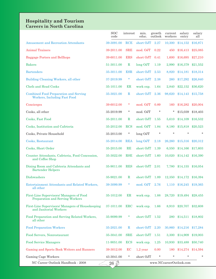#### **Hospitality and Tourism Careers in North Carolina**

|                                                                              | <b>SOC</b><br>code | interest    | min.<br>educ. | growth<br>outlook | current<br>workers      | salary<br>entry          | salary<br>all |
|------------------------------------------------------------------------------|--------------------|-------------|---------------|-------------------|-------------------------|--------------------------|---------------|
| <b>Amusement and Recreation Attendants</b>                                   | 39-3091.00         | <b>RCE</b>  | short OJT     | 2.27              | 10,300                  | \$14,152                 | \$16,871      |
| <b>Animal Trainers</b>                                                       | 39-2011.00         | <b>SRE</b>  | mod. OJT      | 0.22              | 450                     | \$16,413                 | \$25,085      |
| Baggage Porters and Bellhops                                                 | 39-6011.00         | <b>ERS</b>  | short OJT     | 0.41              | 1,600                   | \$16,695                 | \$27,210      |
| <b>Bakers</b>                                                                | 51-3011.00         | $\mathbf R$ | $long$ OJT    | 1.19              | 2,990                   | \$16,379                 | \$21,552      |
| <b>Bartenders</b>                                                            | 35-3011.00         | <b>ESR</b>  | short OJT     | 2.53              | 8,820                   | \$14,181                 | \$18,314      |
| Building Cleaning Workers, all other                                         | 37-2019.99         | *           | short OJT     | 2.38              | 260                     | \$17,292                 | \$26,840      |
| Chefs and Head Cooks                                                         | 35-1011.00         | ER          | work exp.     | 1.64              | 2,840                   | \$22,152                 | \$36,620      |
| <b>Combined Food Preparation and Serving</b><br>Workers, Including Fast Food | 35-3021.00         | $\mathbf R$ | short OJT     | 2.36              | 98,620                  | \$14,143                 | \$15,758      |
| Concierges                                                                   | 39-6012.00         | *           | mod. OJT      | 0.89              | 160                     | \$16,282                 | \$20,004      |
| Cooks, all other                                                             | 35-2019.99         | $\ast$      | mod. OJT      | $\ast$            | *                       | \$15,039                 | \$18,403      |
| Cooks, Fast Food                                                             | 35-2011.00         | $\mathbf R$ | short OJT     | 1.55              | 5,610                   | \$14,109                 | \$16,532      |
| Cooks, Institution and Cafeteria                                             | 35-2012.00         | <b>RCS</b>  | mod. OJT      | 1.84              | 8,180                   | \$15,818                 | \$20,523      |
| Cooks, Private Household                                                     | 35-2013.00         | $\ast$      | long OJT      | $\star$           | $\star$                 | $\star$                  | $\ast$        |
| Cooks, Restaurant                                                            | 35-2014.00         | <b>REA</b>  | long OJT      | 2.18              | 26,260                  | \$15,316                 | \$20,312      |
| Cooks, Short Order                                                           | 35-2015.00         | RE          | short OJT     | 1.39              | 6,550                   | \$14,166                 | \$17,603      |
| Counter Attendants, Cafeteria, Food Concession,<br>and Coffee Shop           | 35-3022.00         | <b>RSE</b>  | short OJT     | 1.60              | 10,020                  | \$14,142                 | \$16,390      |
| Dining Room and Cafeteria Attendants and<br><b>Bartender Helpers</b>         | 35-9011.00         | <b>RES</b>  | short OJT     | 2.01              | 7,780                   | \$14,155                 | \$16,054      |
| Dishwashers                                                                  | 35-9021.00         | $\mathbf R$ | short OJT     | 1.89              | 12,350                  | \$14,172                 | \$16,394      |
| Entertainment Attendants and Related Workers,<br>all other                   | 39-3099.99         | *           | mod. OJT      | 2.76              | 1,110                   | \$16,245                 | \$19,365      |
| First-Line Supervisors/ Managers of Food<br>Preparation and Serving Workers  | 35-1012.00         | ER          | work exp.     | 1.88              |                         | 28,720 \$19,494 \$28,455 |               |
| First-Line Supervisors/ Managers of Housekeeping<br>and Janitorial Workers   | 37-1011.00         | ERC         | work exp.     | 1.66              | 8,910                   | \$20,707                 | \$32,608      |
| Food Preparation and Serving Related Workers,<br>all other                   | 35-9099.99         | *           | short OJT     | 1.52              | 280                     | \$14,511                 | \$18,802      |
| <b>Food Preparation Workers</b>                                              | 35-2021.00         | $\mathbf R$ | short OJT     | 2.20              | 30,860                  | \$14,216                 | \$17,284      |
| Food Servers, Nonrestaurant                                                  | 35-3041.00         | <b>SRE</b>  | short OJT     | 1.51              | 3,300                   | \$14,909                 | \$19,003      |
| <b>Food Service Managers</b>                                                 | 11-9051.00         | <b>ECS</b>  | work exp.     | 1.25              | 10,930                  | \$33,488                 | \$50,740      |
| Gaming and Sports Book Writers and Runners                                   | 39-3012.00         | EC          | $1,2$ year    | 0.00              | 180                     | \$14,274                 | \$14,594      |
| Gaming Cage Workers                                                          | 43-3041.00         | *           | short OJT     | $\ast$            | $\star$                 | $\ast$                   | $\ast$        |
| NC Career Outlook Handbook - 2008                                            | $\overline{26}$ D  |             |               |                   | www.NCcareerOutlook.com |                          |               |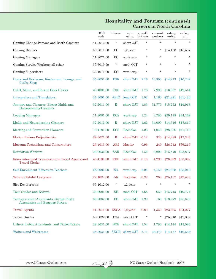# **Hospitality and Tourism (continued) Careers in North Carolina**

|                                                                                          | <b>SOC</b><br>code | interest     | min.<br>educ.   | growth<br>outlook | current<br>workers | salary<br>entry | salary<br>all |
|------------------------------------------------------------------------------------------|--------------------|--------------|-----------------|-------------------|--------------------|-----------------|---------------|
| Gaming Change Persons and Booth Cashiers                                                 | 41-2012.00         | $\ast$       | short OJT       | $\star$           | $\star$            | $\star$         | $\star$       |
| <b>Gaming Dealers</b>                                                                    | 39-3011.00         | EC           | $1,2$ year      | $\ast$            | *                  | \$14,126        | \$15,557      |
| Gaming Managers                                                                          | 11-9071.00         | EC           | work exp.       | $\ast$            | $\star$            | $\ast$          | $\ast$        |
| Gaming Service Workers, all other                                                        | 39-3019.99         | $\ast$       | mod. OJT        | $\ast$            | $\star$            | $\star$         | *             |
| <b>Gaming Supervisors</b>                                                                | 39-1011.00         | EC           | work exp.       | $\ast$            | $\star$            | $\star$         | $\star$       |
| Hosts and Hostesses, Restaurant, Lounge, and<br>Coffee Shop                              | 35-9031.00         | <b>ESR</b>   | short OJT       | 2.16              | 13,300             | \$14,213        | \$16,242      |
| Hotel, Motel, and Resort Desk Clerks                                                     | 43-4081.00         | <b>CES</b>   | short OJT       | 1.76              | 7,990              | \$16,037        | \$19,514      |
| <b>Interpreters and Translators</b>                                                      | 27-3091.00         | <b>ASIC</b>  | long OJT        | 3.02              | 1,160              | \$21,821        | \$31,420      |
| Janitors and Cleaners, Except Maids and<br>Housekeeping Cleaners                         | 37-2011.00         | $\mathbb{R}$ | short OJT       | 1.83              | 51,770             | \$15,272        | \$19,916      |
| <b>Lodging Managers</b>                                                                  | 11-9081.00         | <b>ECS</b>   | work exp.       | 1.24              | 3,780              | \$29,148        | \$44,168      |
| Maids and Housekeeping Cleaners                                                          | 37-2012.00         | $\mathbf R$  | short OJT       | 1.62              | 34,000             | \$14,316        | \$17,610      |
| <b>Meeting and Convention Planners</b>                                                   | 13-1121.00         | <b>ECS</b>   | Bachelor        | 1.93              | 1,040              | \$28,326        | \$41,116      |
| <b>Motion Picture Projectionists</b>                                                     | 39-3021.00         | $\mathbf R$  | short OJT -0.12 |                   | 320                | \$14,488        | \$17,343      |
| Museum Technicians and Conservators                                                      | 25-4013.00         | <b>ARI</b>   | Master          | 0.96              | 240                | \$26,742        | \$36,210      |
| <b>Recreation Workers</b>                                                                | 39-9032.00         | <b>SAR</b>   | Bachelor        | 1.52              | 6,200              | \$15,579        | \$23,837      |
| Reservation and Transportation Ticket Agents and<br><b>Travel Clerks</b>                 | 43-4181.00         | <b>CES</b>   | short OJT       | 0.13              | 4,290              | \$23,809        | \$33,092      |
| <b>Self-Enrichment Education Teachers</b>                                                | 25-3021.00         | <b>SA</b>    | work exp.       | 2.95              | 4,150              | \$21,988        | \$35,910      |
| <b>Set and Exhibit Designers</b>                                                         | 27-1027.00         | AR           | <b>Bachelor</b> | $-0.22$           | 230                | \$25,137        | \$49,453      |
| Slot Key Persons                                                                         | 39-1012.00         | *            | $1,2$ year      | $\ast$            | $\star$            |                 | *             |
| Tour Guides and Escorts                                                                  | 39-6021.00         | SE           | mod. OJT        | 1.68              | 630                | \$15,715        | \$19,774      |
| <b>Transportation Attendants, Except Flight</b><br><b>Attendants and Baggage Porters</b> | 39-6032.00         | ES           | short OJT       | 1.20              | 160                | \$18,379        | \$25,376      |
| <b>Travel Agents</b>                                                                     | 41-3041.00         |              | $ESCA$ 1,2 year | $-0.83$           | 1,550              | \$23,835        | \$34,077      |
| <b>Travel Guides</b>                                                                     | 39-6022.00         | <b>ESA</b>   | mod. OJT        | $\ast$            | *                  | \$25,916        | \$47,832      |
| Ushers, Lobby Attendants, and Ticket Takers                                              | 39-3031.00         | <b>SCE</b>   | short OJT       | 1.54              | 1,780              | \$14,124        | \$15,080      |
| <b>Waiters and Waitresses</b>                                                            | 35-3031.00         | <b>SECR</b>  | short OJT       | 2.11              | 68,470             | \$14,167        | \$16,666      |

 $273$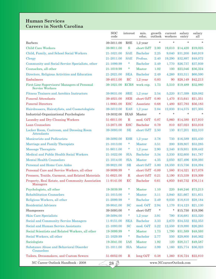# **Human Services Careers in North Carolina**

|                                                                        | <b>SOC</b><br>code | interest    | min.<br>educ.   | growth<br>outlook | current<br>workers      | salary<br>entry | salary<br>all     |
|------------------------------------------------------------------------|--------------------|-------------|-----------------|-------------------|-------------------------|-----------------|-------------------|
| <b>Barbers</b>                                                         | 39-5011.00         | <b>RSE</b>  | $1,2$ year      | $\star$           | $\star$                 | $\star$         | $\ast$            |
| <b>Child Care Workers</b>                                              | 39-9011.00         | S           | short OJT       | 2.00              | 19,610                  | \$14,420        | \$19,025          |
| Child, Family, and School Social Workers                               | 21-1021.00         | <b>SAE</b>  | <b>Bachelor</b> | 2.25              | 9,040                   | \$31,200        | \$40,919          |
| Clergy                                                                 | 21-2011.00         | <b>SAE</b>  | Profess.        | 2.40              | 19,290                  | \$32,897        | \$48,072          |
| Community and Social Service Specialists, other                        | 21-1099.99         | $\ast$      | <b>Bachelor</b> | 2.49              | 1,770                   | \$26,737        | \$37,939          |
| Counselors, all other                                                  | 21-1019.99         | *           | Master          | 1.02              | 100                     | \$23,046        | \$36,324          |
| Directors, Religious Activities and Education                          | 21-2021.00         | <b>SEA</b>  | <b>Bachelor</b> | 2.49              | 4,260                   | \$33,311        | \$60,590          |
| Embalmers                                                              | 39-4011.00         | RC          | $1,2$ year      | 0.83              | 90                      | \$28,149        | \$42,213          |
| First-Line Supervisors/ Managers of Personal<br><b>Service Workers</b> | 39-1021.00         | <b>ECRS</b> | work exp.       | 1.73              | 5,510                   | \$19,489        | \$32,980          |
| <b>Fitness Trainers and Aerobics Instructors</b>                       | 39-9031.00         | <b>SRE</b>  | $1,2$ year      | 2.54              | 5,220                   | \$17,399        | \$29,082          |
| <b>Funeral Attendants</b>                                              | 39-4021.00         | <b>SER</b>  | short OJT       | 0.80              | 1,470                   | \$15,641        | \$21,351          |
| <b>Funeral Directors</b>                                               | 11-9061.00         | <b>ESC</b>  | Associate       | 0.68              | 1,480                   | \$27,793        | \$56,183          |
| Hairdressers, Hairstylists, and Cosmetologists                         | 39-5012.00         | <b>EAS</b>  | $1,2$ year      | 2.84              | 12,830                  | \$14,575        | \$27,305          |
| Industrial-Organizational Psychologists                                | 19-3032.00         | <b>IEAS</b> | Master          | $\star$           | $\star$                 | $\star$         | $\ast$            |
| Laundry and Dry-Cleaning Workers                                       | 51-6011.00         | $\mathbf R$ | mod. OJT        | 0.87              | 5,860                   | \$14,380        | \$17,910          |
| Loan Counselors                                                        | 13-2071.00         | <b>ESC</b>  | Bachelor        | 0.79              | 810                     | \$27,023        | \$33,016          |
| Locker Room, Coatroom, and Dressing Room<br>Attendants                 | 39-3093.00         | SE          | short OJT       | 2.50              | 130                     | \$17,201        | \$22,310          |
| Manicurists and Pedicurists                                            | 39-5092.00         | <b>ESR</b>  | $1,2$ year      | 3.78              | 730                     | \$16,589        | \$25,430          |
| Marriage and Family Therapists                                         | 21-1013.00         | $\ast$      | Master          | 3.51              | 200                     | \$39,807        | \$53,285          |
| <b>Massage Therapists</b>                                              | 31-9011.00         | $\ast$      | $1,2$ year      | 2.90              | 2,340                   | \$19,931        | \$39,442          |
| Medical and Public Health Social Workers                               | 21-1022.00         | <b>SIA</b>  | <b>Bachelor</b> | 3.34              | 3,330                   | \$32,600        | \$41,787          |
| <b>Mental Health Counselors</b>                                        | 21-1014.00         | <b>SIA</b>  | <b>Master</b>   | 4.35              | 2,050                   | \$27,496        | \$39,393          |
| Personal and Home Care Aides                                           | 39-9021.00         | $_{\rm SR}$ | short OJT       | 5.80              | 18,350                  | \$15,756        | \$18,394          |
| Personal Care and Service Workers, all other                           | 39-9099.99         | $\ast$      | short OJT -0.89 |                   | 1,580                   | \$14,321        | \$17,078          |
| Pressers, Textile, Garment, and Related Materials                      | 51-6021.00         | $\mathbf R$ | short OJT       | 0.21              | 3,190                   | \$15,339        | \$19,309          |
| Property, Real Estate, and Community Association<br><b>Managers</b>    | 11-9141.00         | EC          | <b>Bachelor</b> | 0.61              | 4,850                   | \$40,732        | \$76,114          |
| Psychologists, all other                                               | 19-3039.99         | *           | Master          | 1.10              | 220                     |                 | \$48,246 \$73,213 |
| <b>Rehabilitation Counselors</b>                                       | 21-1015.00         | $\ast$      | <b>Master</b>   | 3.11              | 3,940                   | \$21,667        | \$31,831          |
| Religious Workers, all other                                           | 21-2099.99         | *           | <b>Bachelor</b> | 2.49              | 9,030                   | \$18,810        | \$28,184          |
| <b>Residential Advisors</b>                                            | 39-9041.00         | SС          | mod. OJT        | 2.94              | 1,170                   | \$14,123        | \$21,130          |
| Shampooers                                                             | 39-5093.00         | $\ast$      | short OJT       | $\ast$            | *                       | \$15,750        | \$19,396          |
| Skin Care Specialists                                                  | 39-5094.00         | $\ast$      | $1,2$ year      | 3.91              | 790                     | \$16,681        | \$33,320          |
| <b>Social and Community Service Managers</b>                           | 11-9151.00         | <b>SEA</b>  | <b>Bachelor</b> | 3.33              | 2,670                   | \$34,532        | \$52,353          |
| Social and Human Service Assistants                                    | 21-1093.00         | <b>SC</b>   | mod. OJT        | 5.22              | 12,550                  | \$19,890        | \$26,263          |
| Social Scientists and Related Workers, all other                       | 19-3099.99         | *           | Master          | 1.73              | 1,790                   | \$31,589        | \$48,593          |
| Social Workers, all other                                              | 21-1029.99         | $\ast$      | <b>Bachelor</b> | 2.77              | 550                     | \$29,800        | \$46,362          |
| Sociologists                                                           | 19-3041.00         | IAS         | Master          | 1.92              | 120                     | \$28,317        | \$49,587          |
| Substance Abuse and Behavioral Disorder<br>Counselors                  | 21-1011.00         | <b>SIA</b>  | <b>Master</b>   | 3.99              | 1,160                   | \$25,774        | \$36,323          |
| Tailors, Dressmakers, and Custom Sewers                                | 51-6052.00         | $\mathbf R$ | long OJT        | 0.38              | 1,360                   | \$16,724        | \$22,810          |
| NC Career Outlook Handbook - 2008                                      | $\overline{28}$ D  |             |                 |                   | www.NCcareerOutlook.com |                 |                   |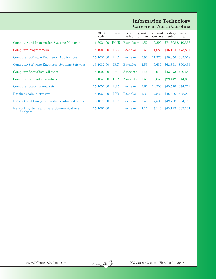#### **Information Technology Careers in North Carolina**

|                                                            | SOC.<br>code | interest    | min.<br>educ.     | growth<br>outlook | current<br>workers | salary<br>entry | salary<br>all      |
|------------------------------------------------------------|--------------|-------------|-------------------|-------------------|--------------------|-----------------|--------------------|
| Computer and Information Systems Managers                  | 11-3021.00   | <b>ECIR</b> | Bachelor $+$ 1.52 |                   | 9,290              |                 | \$74,308 \$110,353 |
| <b>Computer Programmers</b>                                | 15-1021.00   | <b>IRC</b>  | <b>Bachelor</b>   | $-0.51$           | 11,680             | \$46.104        | \$73,864           |
| <b>Computer Software Engineers, Applications</b>           | 15-1031.00   | <b>IRC</b>  | <b>Bachelor</b>   | 3.90              | 11,370             | \$58,056        | \$85,019           |
| Computer Software Engineers, Systems Software              | 15-1032.00   | <b>IRC</b>  | <b>Bachelor</b>   | 2.53              | 9,630              | \$62,671        | \$90,435           |
| Computer Specialists, all other                            | 15-1099.99   | $\ast$      | Associate         | 1.45              | 3,010              | \$43,973        | \$69,589           |
| <b>Computer Support Specialists</b>                        | 15-1041.00   | <b>CIR</b>  | Associate         | 1.58              | 15,850             | \$29,442        | \$44,370           |
| <b>Computer Systems Analysts</b>                           | 15-1051.00   | <b>ICR</b>  | <b>Bachelor</b>   | 2.61              | 14,900             | \$49,510        | \$74,714           |
| Database Administrators                                    | 15-1061.00   | <b>ICR</b>  | <b>Bachelor</b>   | 2.37              | 2,830              | \$46,636        | \$68,903           |
| Network and Computer Systems Administrators                | 15-1071.00   | <b>IRC</b>  | <b>Bachelor</b>   | 2.49              | 7,500              | \$42,798        | \$64,733           |
| <b>Network Systems and Data Communications</b><br>Analysts | 15-1081.00   | IR          | <b>Bachelor</b>   | 4.17              | 7,140              | \$43,149        | \$67,101           |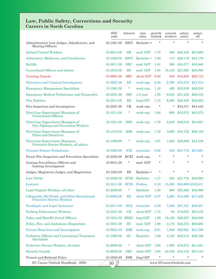#### **Law, Public Safety, Corrections and Security Careers in North Carolina**

|                                                                                     | <b>SOC</b><br>code | interest    | min.<br>educ.   | growth<br>outlook | current<br>workers      | salary<br>entry | salary<br>all      |
|-------------------------------------------------------------------------------------|--------------------|-------------|-----------------|-------------------|-------------------------|-----------------|--------------------|
| Administrative Law Judges, Adjudicators, and<br>Hearing Officers                    | 23-1021.00         | ESCI        | Bachelor +      | $\star$           | $\star$                 | $\star$         | $\star$            |
| <b>Animal Control Workers</b>                                                       | 33-9011.00         | <b>SR</b>   | mod. OJT        | 1.78              | 590                     | \$20,108        | \$27,660           |
| Arbitrators, Mediators, and Conciliators                                            | 23-1022.00         | <b>ESCI</b> | Bachelor +      | 1.00              | 110                     | \$29,119        | \$43,170           |
| <b>Bailiffs</b>                                                                     | 33-3011.00         | <b>SEC</b>  | mod. OJT        | 1.81              | 290                     | \$24,577        | \$30,960           |
| Correctional Officers and Jailers                                                   | 33-3012.00         | <b>RS</b>   | mod. OJT        | 1.85              | 18.100                  | \$27,929        | \$30,886           |
| <b>Crossing Guards</b>                                                              | 33-9091.00         | <b>SRC</b>  | short OJT       | 0.93              | 540                     | \$16,505        | \$22,715           |
| Detectives and Criminal Investigators                                               | 33-3021.00         | <b>ES</b>   | work exp.       | 2.50              | 2,790                   | \$33,270        | \$47,374           |
| <b>Emergency Management Specialists</b>                                             | 13-1061.00         | $\ast$      | work exp.       | 1.18              | 490                     | \$33,839        | \$46,238           |
| <b>Emergency Medical Technicians and Paramedics</b>                                 | 29-2041.00         | SRI         | $1,2$ year      | 1.95              | 8,040                   | \$21,436        | \$29,419           |
| <b>Fire Fighters</b>                                                                | 33-2011.00         | <b>RS</b>   | long OJT        | 1.75              | 8,050                   | \$22,428        | \$32,883           |
| Fire Inspectors and Investigators                                                   | 33-2021.00         | CR          | work exp.       | $\ast$            | *                       | \$33,371        | \$44,443           |
| First-Line Supervisors/ Managers of<br><b>Correctional Officers</b>                 | 33-1011.00         | $\ast$      | work exp.       | 1.68              | 900                     | \$33,073        | \$43,575           |
| First-Line Supervisors/ Managers of<br>Fire Fighting and Prevention Workers         | 33-1021.00         | <b>RES</b>  | work exp.       | 1.78              | 2,040                   | \$39,316        | \$54,697           |
| First-Line Supervisors/ Managers of<br><b>Police and Detectives</b>                 | 33-1012.00         | <b>ESR</b>  | work exp.       | 1.76              | 3,690                   | \$40,702        | \$56,158           |
| First-Line Supervisors/ Managers,<br>Protective Service Workers, all others         | 33-1099.99         | $\ast$      | work exp.       | 1.67              | 1,880                   | \$29,809        | \$44,539           |
| <b>Forensic Science Technicians</b>                                                 | 19-4092.00         | <b>ICR</b>  | Associate       | 2.92              | 550                     | \$27,772        | \$37,691           |
| Forest Fire Inspectors and Prevention Specialists                                   | 33-2022.00         | RCEI        | work exp.       | *                 | $\star$                 | $\star$         | $\ast$             |
| Gaming Surveillance Officers and<br>Gaming Investigators                            | 33-9031.00         | $\ast$      | mod. OJT        | $\ast$            | $\ast$                  | $\ast$          | $\ast$             |
| Judges, Magistrate Judges, and Magistrates                                          | 23-1023.00         | ES          | Bachelor +      | $\ast$            | $\ast$                  | $\ast$          |                    |
| Law Clerks                                                                          | 23-2092.00         | <b>ECSI</b> | <b>Bachelor</b> | 1.17              | 320                     | \$21,779        | \$40,980           |
| Lawyers                                                                             | 23-1011.00         | <b>ECIS</b> | Profess.        | 2.19              | 13,280                  |                 | \$50,699 \$103,611 |
| Legal Support Workers, all other                                                    | 23-2099.99         | *           | <b>Bachelor</b> | 1.56              | 890                     | \$22,468        | \$38,996           |
| Lifeguards, Ski Patrol, and Other Recreational<br><b>Protective Service Workers</b> | 33-9092.00         | <b>RS</b>   | short OJT       | 2.27              | 3,280                   | \$14,399        | \$17,426           |
| Paralegals and Legal Assistants                                                     | 23-2011.00         | <b>ECS</b>  | Associate       | 3.28              | 7,840                   | \$27,121        | \$38,201           |
| <b>Parking Enforcement Workers</b>                                                  | 33-3041.00         | CR          | short OJT       | 1.75              | 80                      | \$19,024        | \$25,532           |
| Police and Sheriff's Patrol Officers                                                | 33-3051.00         | <b>RSEC</b> | long OJT        | 1.59              | 18,120                  | \$29,287        | \$39,506           |
| Police, Fire, and Ambulance Dispatchers                                             | 43-5031.00         | <b>SC</b>   | mod. OJT        | 1.88              | 3,170                   | \$22,572        | \$28,683           |
| Private Detectives and Investigators                                                | 33-9021.00         | <b>ESR</b>  | work exp.       | 2.21              | 1,640                   | \$25,061        | \$41,788           |
| Probation Officers and Correctional Treatment<br><b>Specialists</b>                 | 21-1092.00         | <b>SC</b>   | <b>Bachelor</b> | 1.06              | 3,150                   | \$32,318        | \$36,169           |
| Protective Service Workers, all other                                               | 33-9099.99         | $\ast$      | short OJT       | 1.95              | 1,990                   | \$19,273        | \$31,821           |
| <b>Security Guards</b>                                                              | 33-9032.00         | <b>SEC</b>  | short OJT       | 1.95              | 24,350                  | \$16,132        | \$23,153           |
| Transit and Railroad Police                                                         | 33-3052.00         | <b>ESR</b>  | long OJT        | $\ast$            | *                       | $\star$         | $\ast$             |
| NC Career Outlook Handbook - 2008                                                   | $\overline{30}$ D  |             |                 |                   | www.NCcareerOutlook.com |                 |                    |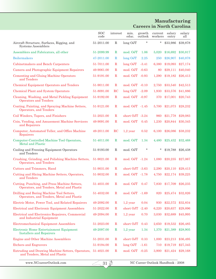#### **Manufacturing Careers in North Carolina**

|                                                                                            | <b>SOC</b><br>code | interest    | min.<br>educ.   | growth<br>outlook | current<br>workers | salary<br>entry | salary<br>all |
|--------------------------------------------------------------------------------------------|--------------------|-------------|-----------------|-------------------|--------------------|-----------------|---------------|
| Aircraft Structure, Surfaces, Rigging, and<br>Systems Assemblers                           | 51-2011.00         | R           | long OJT        | $\ast$            | *                  | \$33,986        | \$39,878      |
| Assemblers and Fabricators, all other                                                      | 51-2099.99         | $\mathbf R$ | mod. OJT        | 1.06              | 5,020              | \$16,692        | \$30,817      |
| <b>Boilermakers</b>                                                                        | 47-2011.00         | R           | $long$ OJT      | 2.25              | 250                | \$26,907        | \$40,878      |
| Cabinetmakers and Bench Carpenters                                                         | 51-7011.00         | R           | $long$ OJT      | $-3.41$           | 6,380              | \$19,093        | \$27,174      |
| Camera and Photographic Equipment Repairers                                                | 49-9061.00         | $\mathbf R$ | mod. OJT        | $-0.63$           | 80                 | \$29,111        | \$40,040      |
| <b>Cementing and Gluing Machine Operators</b><br>and Tenders                               | 51-9191.00         | R           | mod. OJT -0.93  |                   | 1,290              | \$19,182        | \$26,413      |
| <b>Chemical Equipment Operators and Tenders</b>                                            | 51-9011.00         | $\mathbf R$ | mod. OJT -0.10  |                   | 2,750              | \$33,540        | \$42,513      |
| <b>Chemical Plant and System Operators</b>                                                 | 51-8091.00         | $_{\rm RC}$ | $long$ OJT      | $-2.09$           | 1,930              | \$33,576        | \$41,886      |
| Cleaning, Washing, and Metal Pickling Equipment<br><b>Operators and Tenders</b>            | 51-9192.00         | $\mathbf R$ | mod. OJT -0.97  |                   | 370                | \$17,001        | \$20,743      |
| Coating, Painting, and Spraying Machine Setters,<br>Operators, and Tenders                 | 51-9121.00         | $\mathbf R$ | mod. OJT -1.45  |                   | 5,700              | \$21,073        | \$28,232      |
| Coil Winders, Tapers, and Finishers                                                        | 51-2021.00         | $\mathbf R$ | short OJT -3.24 |                   | 960                | \$21,778        | \$29,083      |
| Coin, Vending, and Amusement Machine Servicers<br>and Repairers                            | 49-9091.00         | R           | mod. OJT        | 0.45              | 1,230              | \$20,844        | \$30,345      |
| Computer, Automated Teller, and Office Machine<br>Repairers                                | 49-2011.00         | $_{\rm RC}$ | $1,2$ year      | 0.52              | 6,100              | \$26,086        | \$38,232      |
| Computer-Controlled Machine Tool Operators,<br><b>Metal and Plastic</b>                    | 51-4011.00         | $\mathbf R$ | mod. OJT        | 1.34              | 4,480              | \$25,432        | \$32,468      |
| Cooling and Freezing Equipment Operators<br>and Tenders                                    | 51-9193.00         | $\mathbf R$ | mod. OJT        | $\ast$            |                    | \$19,788        | \$26,438      |
| Crushing, Grinding, and Polishing Machine Setters,<br>Operators, and Tenders               | 51-9021.00         | R           | mod. OJT -1.24  |                   | 1,080              | \$20,235        | \$27,067      |
| Cutters and Trimmers, Hand                                                                 | 51-9031.00         | R           | short OJT -3.63 |                   | 2,290              | \$20,110        | \$29,413      |
| Cutting and Slicing Machine Setters, Operators,<br>and Tenders                             | 51-9032.00         | R           | mod. OJT -1.78  |                   | 4,750              | \$22,174        | \$39,225      |
| Cutting, Punching, and Press Machine Setters,<br>Operators, and Tenders, Metal and Plastic | 51-4031.00         | R           | mod. OJT        | 0.47              | 7.830              | \$17,709        | \$26,235      |
| Drilling and Boring Machine Tool Setters,<br>Operators, and Tenders, Metal and Plastic     | 51-4032.00         | $\mathbf R$ | mod. OJT -1.69  |                   | 820                | \$25,474        | \$32,826      |
| Electric Motor, Power Tool, and Related Repairers                                          | 49-2092.00         | R           | $1,2$ year      | 0.04              | 930                | \$22,572        | \$32,834      |
| <b>Electrical and Electronic Equipment Assemblers</b>                                      | 51-2022.00         | R           | $short\ OJT$    | $-2.40$           | 6,220              | \$20,637        | \$29,896      |
| <b>Electrical and Electronics Repairers, Commercial</b><br>and Industrial Equipment        | 49-2094.00         | $\mathbf R$ | $1,2$ year      | 0.70              | 3,030              | \$32,689        | \$45,995      |
| <b>Electromechanical Equipment Assemblers</b>                                              | 51-2023.00         | $\mathbf R$ | short OJT       | 0.43              | 2,650              | \$19,532        | \$26,485      |
| Electronic Home Entertainment Equipment<br><b>Installers and Repairers</b>                 | 49-2097.00         | R           | $1,2$ year      | 1.34              | 1,370              | \$21,389        | \$28,905      |
| <b>Engine and Other Machine Assemblers</b>                                                 | 51-2031.00         | R           | short OJT       | 0.33              | 1,000              | \$23,213        | \$36,495      |
| <b>Etchers and Engravers</b>                                                               | 51-9194.00         | $\mathbf R$ | long OJT        | $-1.61$           | 710                | \$19,719        | \$27,345      |
| Extruding and Drawing Machine Setters, Operators,<br>and Tenders, Metal and Plastic        | 51-4021.00         | $\mathbf R$ | mod. OJT -0.25  |                   | 3,900              | \$21,424        | \$29,168      |

 $\sqrt{312}$ 

www.NCcareerOutlook.com  $\overline{31}$  NC Career Outlook Handbook - 2008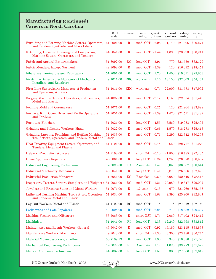#### **Manufacturing (continued) Careers in North Carolina**

|                                                                                                              | <b>SOC</b><br>code | interest     | min.<br>educ.      | growth<br>outlook | current<br>workers | salary<br>entry | salary<br>all         |
|--------------------------------------------------------------------------------------------------------------|--------------------|--------------|--------------------|-------------------|--------------------|-----------------|-----------------------|
| Extruding and Forming Machine Setters, Operators,<br>and Tenders, Synthetic and Glass Fibers                 | 51-6091.00         | $\mathbf R$  | mod. OJT -2.98     |                   | 1,140              | \$21,696        | \$30,271              |
| Extruding, Forming, Pressing, and Compacting<br>Machine Setters, Operators, and Tenders                      | 51-9041.00         | $\mathbf R$  | mod. OJT -1.44     |                   | 4,690              | \$20,923        | \$30,211              |
| <b>Fabric and Apparel Patternmakers</b>                                                                      | 51-6092.00         | $_{\rm RC}$  | $long$ OJT         | $-5.91$           | 770                | \$21,530        | \$32,179              |
| Fabric Menders, Except Garment                                                                               | 49-9093.00         | $\mathbf R$  | mod. OJT -3.39     |                   | 120                | \$16,092        | \$18,451              |
| <b>Fiberglass Laminators and Fabricators</b>                                                                 | 51-2091.00         | $\mathbf R$  | mod. OJT           | 1.70              | 1,400              | \$19,611        | \$25,863              |
| First-Line Supervisors/Managers of Mechanics,<br>Installers, and Repairers                                   | 49-1011.00         | $_{\rm ERC}$ | work exp.          | 1.16              | 18,150             | \$37,309        | \$54,461              |
| First-Line Supervisors/ Managers of Production<br>and Operating Workers                                      | 51-1011.00         | <b>ERC</b>   | work $exp. -0.74$  |                   | 27,900             | \$31,573        | \$47,902              |
| Forging Machine Setters, Operators, and Tenders,<br><b>Metal and Plastic</b>                                 | 51-4022.00         | $\mathbf R$  | mod. OJT -2.12     |                   | 1,150              | \$22,834        | \$31,449              |
| <b>Foundry Mold and Coremakers</b>                                                                           | 51-4071.00         | $\mathbf R$  | mod. OJT           | 0.25              | 120                | \$21,964        | \$33,898              |
| Furnace, Kiln, Oven, Drier, and Kettle Operators<br>and Tenders                                              | 51-9051.00         | $\mathbf R$  | mod. OJT -1.39     |                   | 1,470              | \$21,511        | \$31,482              |
| <b>Furniture Finishers</b>                                                                                   | 51-7021.00         | $\mathbf R$  | $long$ OJT         | $-4.55$           | 3,560              | \$19,983        | \$25,497              |
| Grinding and Polishing Workers, Hand                                                                         | 51-9022.00         | $\mathbb{R}$ | mod. OJT -0.66     |                   | 1,570              | \$18,773        | \$25,417              |
| Grinding, Lapping, Polishing, and Buffing Machine<br>Tool Setters, Operators, and Tenders, Metal and Plastic | 51-4033.00         | $\mathbf R$  | mod. OJT -0.71     |                   | 2,290              | \$22,342        | \$30,207              |
| Heat Treating Equipment Setters, Operators, and<br>Tenders, Metal and Plastic                                | 51-4191.00         | $\mathbf R$  | mod. OJT 0.44      |                   | 650                | \$22,727        | \$31,979              |
| Helpers--Production Workers                                                                                  | 51-9198.00         | $\mathbf R$  | short OJT -0.10    |                   | 21,800             | \$16,785        | \$22,405              |
| Home Appliance Repairers                                                                                     | 49-9031.00         | $\mathbf R$  | long OJT           | 0.24              | 1,750              | \$23,678        | \$30,587              |
| <b>Industrial Engineering Technicians</b>                                                                    | 17-3026.00         | IC           | Associate          | 1.47              | 2,050              | \$33,587        | \$50,644              |
| <b>Industrial Machinery Mechanics</b>                                                                        | 49-9041.00         | $\mathbf R$  | long OJT           | 0.41              | 8,870              | \$26,566        | \$37,326              |
| <b>Industrial Production Managers</b>                                                                        | 11-3051.00         | EC           | Bachelor           | $-0.69$           | 6,080              | \$50,846        | \$78,516              |
| Inspectors, Testers, Sorters, Samplers, and Weighers 51-9061.00                                              |                    | $_{\rm RC}$  | mod. OJT           | $-1.21$           | 20,980             | \$19,347        | \$29,007              |
| Jewelers and Precious Stone and Metal Workers                                                                | 51-9071.00         | $\mathbf R$  | $1,2$ year $-0.13$ |                   |                    |                 | 670 \$21,260 \$35,158 |
| Lathe and Turning Machine Tool Setters, Operators, 51-4034.00<br>and Tenders, Metal and Plastic              |                    | $\rm R$      | mod. OJT -1.63     |                   | 2,390              | \$25,800        | \$32,847              |
| Lay-Out Workers, Metal and Plastic                                                                           | 51-4192.00         | $_{\rm RC}$  | mod. OJT           | *                 | *                  | \$27,212        | \$32,149              |
| <b>Locksmiths and Safe Repairers</b>                                                                         | 49-9094.00         | $\mathbf R$  | mod. OJT           | 2.25              | 710                | \$18,832        | \$29,397              |
| Machine Feeders and Offbearers                                                                               | 53-7063.00         | $\mathbf R$  | short OJT -1.74    |                   | 7,060              | \$17,402        | \$24,412              |
| Machinists                                                                                                   | 51-4041.00         | $\rm RI$     | $long$ OJT         | 1.33              | 12,240             | \$22,598        | \$33,812              |
| Maintenance and Repair Workers, General                                                                      | 49-9042.00         | $\mathbf R$  | mod. OJT           | 0.92              | 45,180             | \$23,115        | \$33,897              |
| Maintenance Workers, Machinery                                                                               | 49-9043.00         | $\mathbf R$  | short OJT -1.30    |                   | 3,300              | \$23,780        | \$36,775              |
| Material Moving Workers, all other                                                                           | 53-7199.99         | $\mathbb R$  | mod. OJT           | 1.90              | 340                | \$16,880        | \$21,220              |
| Mechanical Engineering Technicians                                                                           | 17-3027.00         | $\rm RI$     | Associate          | 1.17              | 1,020              | \$33,779        | \$51,529              |
| Medical Appliance Technicians                                                                                | 51-9082.00         | $\rm RI$     | long OJT           | 1.57              | 380                |                 | \$27,006 \$37,612     |

 $\sqrt{32 \cancel{3}}$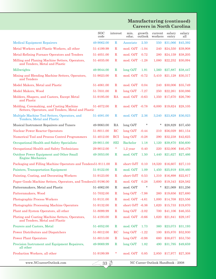#### **Manufacturing (continued) Careers in North Carolina**

|                                                                                                | <b>SOC</b><br>code | interest    | min.<br>educ.      | growth<br>outlook | current<br>workers | salary<br>entry   | salary<br>all |
|------------------------------------------------------------------------------------------------|--------------------|-------------|--------------------|-------------------|--------------------|-------------------|---------------|
| <b>Medical Equipment Repairers</b>                                                             | 49-9062.00         | $\mathbf R$ | Associate          | 2.50              | 550                | \$31,066          | \$45,392      |
| Metal Workers and Plastic Workers, all other                                                   | 51-4199.99         | R           | mod. OJT -1.04     |                   | 240                | \$24,550          | \$39,908      |
| Metal-Refining Furnace Operators and Tenders                                                   | 51-4051.00         | $_{\rm R}$  | mod. OJT           | 0.72              | 280                | \$24,159          | \$38,205      |
| Milling and Planing Machine Setters, Operators,<br>and Tenders, Metal and Plastic              | 51-4035.00         | R           | mod. OJT -1.28     |                   | 1,080              | \$22,252          | \$30,094      |
| Millwrights                                                                                    | 49-9044.00         | R           | $long$ OJT         | 1.91              | 1,560              | \$27,887          | \$38,447      |
| Mixing and Blending Machine Setters, Operators,<br>and Tenders                                 | 51-9023.00         | R           | mod. OJT           | $-0.72$           | 5,410              | \$21,128          | \$30,317      |
| Model Makers, Metal and Plastic                                                                | 51-4061.00         | $\mathbf R$ | mod. OJT           | 0.04              | 240                | \$30,006          | \$35,749      |
| Model Makers, Wood                                                                             | 51-7031.00         | $\mathbf R$ | $long$ OJT         | $-7.27$           | 250                | \$22,261          | \$30,086      |
| Molders, Shapers, and Casters, Except Metal<br>and Plastic                                     | 51-9195.00         | RA          | mod. OJT           | $-0.63$           | 1,350              | \$17,670          | \$26,790      |
| Molding, Coremaking, and Casting Machine<br>Setters, Operators, and Tenders, Metal and Plastic | 51-4072.00         | $\mathbf R$ | mod. OJT -0.78     |                   | 6,000              | \$19,624          | \$28,105      |
| Multiple Machine Tool Setters, Operators, and<br>Tenders, Metal and Plastic                    | 51-4081.00         | R           | mod. OJT           | 2.36              | 3,240              | \$23,828          | \$36,023      |
| Musical Instrument Repairers and Tuners                                                        | 49-9063.00         | RA          | long OJT           | *                 | *                  | \$28,829          | \$37,450      |
| <b>Nuclear Power Reactor Operators</b>                                                         | 51-8011.00         | RC          | long OJT           | $-0.44$           | 210                | \$56,029          | \$61,154      |
| Numerical Tool and Process Control Programmers                                                 | 51-4012.00         | <b>RCI</b>  | long OJT           | $-0.28$           | 290                | \$32,238          | \$42,625      |
| Occupational Health and Safety Specialists                                                     | 29-9011.00         | <b>SEI</b>  | <b>Bachelor</b>    | 1.18              | 1,120              | \$39,870          | \$56,600      |
| Occupational Health and Safety Technicians                                                     | 29-9012.00         | $\ast$      | $1,2$ year         | 0.40              | 220                | \$32,006          | \$46,479      |
| Outdoor Power Equipment and Other Small<br><b>Engine Mechanics</b>                             | 49-3053.00         | $_{\rm R}$  | mod. OJT           | 1.50              | 1,440              | \$21,627          | \$27,466      |
| Packaging and Filling Machine Operators and Tenders51-9111.00                                  |                    | $_{\rm R}$  | short OJT          | 0.10              | 18,520             | \$16,607          | \$27,110      |
| Painters, Transportation Equipment                                                             | 51-9122.00         | $_{\rm R}$  | mod. OJT           | 1.09              | 1,450              | \$25,919          | \$39,460      |
| Painting, Coating, and Decorating Workers                                                      | 51-9123.00         | R           | short OJT          | 0.53              | 1,310              | \$16,898          | \$22,817      |
| Paper Goods Machine Setters, Operators, and Tenders51-9196.00                                  |                    | R           | mod. OJT           | 0.28              | 3,600              | \$19,343          | \$28,582      |
| Patternmakers, Metal and Plastic                                                               | 51-4062.00         | $_{\rm R}$  | mod. OJT           | *                 | $^\star$           | \$21,069 \$31,256 |               |
| Patternmakers, Wood                                                                            | 51-7032.00         | $\mathbf R$ | $long$ OJT $-7.98$ |                   | 260                | \$19,656          | \$27,680      |
| <b>Photographic Process Workers</b>                                                            | 51-9131.00         | $\mathbf R$ | mod. OJT -4.61     |                   | 1,000              | \$14,708          | \$23,556      |
| Photographic Processing Machine Operators                                                      | 51-9132.00         | $\mathbf R$ | short OJT -6.36    |                   | 1,620              | \$15,733          | \$19,870      |
| Plant and System Operators, all other                                                          | 51-8099.99         | $\mathbf R$ | $long$ OJT $-2.02$ |                   | 700                | \$41,106          | \$46,355      |
| Plating and Coating Machine Setters, Operators,<br>and Tenders, Metal and Plastic              | 51-4193.00         | $\mathbf R$ | mod. OJT -0.66     |                   | 1,620              | \$21,841          | \$29,187      |
| Pourers and Casters, Metal                                                                     | 51-4052.00         | $\mathbf R$ | mod. OJT           | 1.73              | 360                | \$23,073          | \$31,193      |
| <b>Power Distributors and Dispatchers</b>                                                      | 51-8012.00         | $_{\rm RC}$ | long OJT           | $-1.22$           | 100                | \$35,870          | \$52,930      |
| <b>Power Plant Operators</b>                                                                   | 51-8013.00         | $\mathbf R$ | long OJT           | $-0.98$           | 680                | \$38,677          | \$53,750      |
| Precision Instrument and Equipment Repairers,<br>all other                                     | 49-9069.99         | $\mathbf R$ | long OJT           | 1.82              | 490                | \$31,795          | \$49,659      |
| Production Workers, all other                                                                  | 51-9199.99         | *           | mod. OJT           | 0.85              | 2,850              | \$17,977          | \$27,308      |

 $\sqrt{333}$ 

www.NCcareerOutlook.com NC Career Outlook Handbook - 2008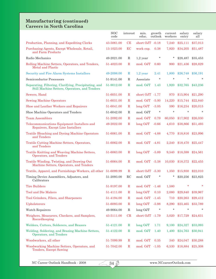#### **Manufacturing (continued) Careers in North Carolina**

|                                                                                                        | <b>SOC</b><br>code | interest    | min.<br>educ.   | growth<br>outlook | current<br>workers | salary<br>entry | salary<br>all |
|--------------------------------------------------------------------------------------------------------|--------------------|-------------|-----------------|-------------------|--------------------|-----------------|---------------|
| Production, Planning, and Expediting Clerks                                                            | 43-5061.00         | CE          | short OJT -0.18 |                   | 7,240              | \$25,111        | \$37,013      |
| Purchasing Agents, Except Wholesale, Retail,<br>and Farm Products                                      | 13-1023.00         | EC          | work exp.       | 0.38              | 7,920              | \$34,205        | \$51,487      |
| Radio Mechanics                                                                                        | 49-2021.00         | $\mathbf R$ | $1,2$ year      | $\ast$            | *                  | \$28,487        | \$35,453      |
| Rolling Machine Setters, Operators, and Tenders,<br><b>Metal and Plastic</b>                           | 51-4023.00         | R           | mod. OJT        | 0.60              | 900                | \$21,436        | \$28,829      |
| Security and Fire Alarm Systems Installers                                                             | 49-2098.00         | R           | $1,2$ year      | 2.41              | 1,800              | \$26,748        | \$36,191      |
| Semiconductor Processors                                                                               | 51-9141.00         | R           | Associate       | $\ast$            | $\star$            | $\ast$          | $\ast$        |
| Separating, Filtering, Clarifying, Precipitating, and<br>Still Machine Setters, Operators, and Tenders | 51-9012.00         | $\mathbf R$ | mod. OJT        | 1.43              | 1,920              | \$32,765        | \$43,236      |
| Sewers, Hand                                                                                           | 51-6051.00         | R           | short OJT -1.77 |                   | 970                | \$15,904        | \$21,290      |
| <b>Sewing Machine Operators</b>                                                                        | 51-6031.00         | R           | mod. OJT -5.00  |                   | 14,220             | \$15,744        | \$22,840      |
| Shoe and Leather Workers and Repairers                                                                 | 51-6041.00         | R           | $long$ OJT      | $-3.05$           | 590                | \$16,234        | \$20,015      |
| Shoe Machine Operators and Tenders                                                                     | 51-6042.00         | $\mathbf R$ | mod. OJT        | $\ast$            | $\star$            | $\star$         | $\star$       |
| <b>Team Assemblers</b>                                                                                 | 51-2092.00         | $\mathbf R$ | mod. OJT        | 0.79              | 60,050             | \$17,902        | \$26,030      |
| Telecommunications Equipment Installers and<br>Repairers, Except Line Installers                       | 49-2022.00         | $\mathbf R$ | long OJT        | $-0.66$           | 4,610              | \$38,866        | \$51,493      |
| <b>Textile Bleaching and Dyeing Machine Operators</b><br>and Tenders                                   | 51-6061.00         | $\mathbf R$ | mod. OJT -4.88  |                   | 4,770              | \$18,816        | \$23,996      |
| Textile Cutting Machine Setters, Operators,<br>and Tenders                                             | 51-6062.00         | R           | mod. OJT -4.81  |                   | 2,240              | \$18,470        | \$25,447      |
| Textile Knitting and Weaving Machine Setters,<br>Operators, and Tenders                                | 51-6063.00         | $\mathbf R$ | $long$ OJT      | -5.89             | 9,540              | \$18,598        | \$24,561      |
| Textile Winding, Twisting, and Drawing Out<br>Machine Setters, Operators, and Tenders                  | 51-6064.00         | $\mathbf R$ | mod. OJT -5.38  |                   | 10,030             | \$18,372        | \$22,455      |
| Textile, Apparel, and Furnishings Workers, all other                                                   | 51-6099.99         | $\mathbf R$ | short OJT -5.30 |                   | 1,350              | \$15,930        | \$22,010      |
| Timing Device Assemblers, Adjusters, and<br>Calibrators                                                | 51-2093.00         | RC          | mod. OJT        | *                 | *                  | \$20,256        | \$23,825      |
| <b>Tire Builders</b>                                                                                   | 51-9197.00         | R           | mod. OJT -1.46  |                   | 1,580              | $\ast$          |               |
| <b>Tool and Die Makers</b>                                                                             | 51-4111.00         | $\mathbf R$ | long OJT        | 0.10              | 2,080              | \$29,840        | \$39,967      |
| Tool Grinders, Filers, and Sharpeners                                                                  | 51-4194.00         | $\mathbf R$ | mod. OJT -1.45  |                   | 710                | \$20,263        | \$29,412      |
| Upholsterers                                                                                           | 51-6093.00         | $\mathbf R$ | long OJT        | $-5.98$           | 8,290              | \$23,465        | \$33,789      |
| <b>Watch Repairers</b>                                                                                 | 49-9064.00         | $\mathbf R$ | long OJT        | $\ast$            | $\star$            | $\star$         | $\star$       |
| Weighers, Measurers, Checkers, and Samplers,<br>Recordkeeping                                          | 43-5111.00         | CR          | short OJT -1.79 |                   | 3,020              | \$17,729        | \$24,631      |
| Welders, Cutters, Solderers, and Brazers                                                               | 51-4121.00         | $\mathbf R$ | long OJT        | 1.71              | 9,100              | \$24,327        | \$33,093      |
| Welding, Soldering, and Brazing Machine Setters,<br>Operators, and Tenders                             | 51-4122.00         | $\mathbf R$ | mod. OJT        | 1.40              | 1,400              | \$24,763        | \$30,941      |
| Woodworkers, all other                                                                                 | 51-7099.99         | $\mathbf R$ | mod. OJT        | 0.35              | 340                | \$24,047        | \$30,288      |
| Woodworking Machine Setters, Operators, and<br>Tenders, Except Sawing                                  | 51-7042.00         | $\mathbf R$ | mod. OJT -1.05  |                   | 6,530              | \$18,884        | \$25,308      |

 $\sqrt{34 \cancel{3}}$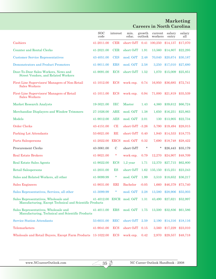# **Marketing Careers in North Carolina**

|                                                                                                 | <b>SOC</b><br>code       | interest      | min.<br>educ.          | growth<br>outlook | $\it current$<br>workers | salary<br>entry | salary<br>all |
|-------------------------------------------------------------------------------------------------|--------------------------|---------------|------------------------|-------------------|--------------------------|-----------------|---------------|
| Cashiers                                                                                        | 41-2011.00               | <b>CER</b>    | short OJT 0.41 100,250 |                   |                          | \$14,137        | \$17,070      |
| <b>Counter and Rental Clerks</b>                                                                | 41-2021.00               | <b>CER</b>    | short OJT              | 1.91              | 13,560                   | \$14,807        | \$22,295      |
| <b>Customer Service Representatives</b>                                                         | 43-4051.00               | <b>CES</b>    | mod. OJT               | 2.48              | 70,040                   | \$20,674        | \$30,187      |
| Demonstrators and Product Promoters                                                             | 41-9011.00               | <b>ERS</b>    | mod. OJT               | 2.58              | 3,250                    | \$17,010        | \$27,680      |
| Door-To-Door Sales Workers, News and<br>Street Vendors, and Related Workers                     | 41-9091.00               | <b>ECS</b>    | short OJT              | 1.52              | 1,070                    | \$15,009        | \$25,851      |
| First-Line Supervisors/ Managers of Non-Retail<br><b>Sales Workers</b>                          | 41-1012.00               | <b>ECS</b>    | work exp.              | 0.74              | 16,950                   | \$36,685        | \$72,741      |
| First-Line Supervisors/ Managers of Retail<br><b>Sales Workers</b>                              | 41-1011.00               | <b>ECS</b>    | work exp.              | 0.94              | 71,000                   | \$21,819        | \$35,539      |
| <b>Market Research Analysts</b>                                                                 | 19-3021.00               | IEC           | Master                 | 1.43              | 4,360                    | \$39,612        | \$66,724      |
| Merchandise Displayers and Window Trimmers                                                      | 27-1026.00               | <b>ARE</b>    | mod. OJT               | 1.38              | 1,650                    | \$16,251        | \$25,863      |
| Models                                                                                          | 41-9012.00               | <b>AES</b>    | mod. OJT               | 2.01              | 130                      | \$13,905        | \$22,734      |
| <b>Order Clerks</b>                                                                             | 43-4151.00               | CE            | short OJT -3.26        |                   | 5,790                    | \$19,494        | \$28,015      |
| <b>Parking Lot Attendants</b>                                                                   | 53-6021.00               | RE            | short OJT              | 0.40              | 1,940                    | \$14,533        | \$18,775      |
| Parts Salespersons                                                                              | 41-2022.00               | <b>ERCS</b>   | mod. OJT               | 0.32              | 7,690                    | \$18,748        | \$28,422      |
| Procurement Clerks                                                                              | 43-3061.00               | $\mathcal{C}$ | short OJT              | $\ast$            | *                        | \$26,443        | \$35,179      |
| <b>Real Estate Brokers</b>                                                                      | 41-9021.00               | $\ast$        | work exp.              | 0.79              | 12,270                   | \$24,907        | \$48,709      |
| Real Estate Sales Agents                                                                        | 41-9022.00               | <b>ECS</b>    | $1,2$ year             | 1.71              | 12,370                   | \$27,715        | \$62,800      |
| Retail Salespersons                                                                             | 41-2031.00               | ES            | short OJT              |                   | 1.62 135,150             | \$15,251        | \$23,243      |
| Sales and Related Workers, all other                                                            | 41-9099.99               | *             | mod. OJT               | 1.99              | 3,510                    | \$18,652        | \$36,217      |
| <b>Sales Engineers</b>                                                                          | 41-9031.00               | ERI           | <b>Bachelor</b>        | $-0.05$           | 1,660                    | \$46,379        | \$73,740      |
| Sales Representatives, Services, all other                                                      | 41-3099.99               | *             | mod. OJT               | 2.28              | 13,580                   | \$28,906        | \$55,003      |
| Sales Representatives, Wholesale and<br>Manufacturing, Except Technical and Scientific Products | 41-4012.00 ESCR mod. OJT |               |                        | 1.31              | 43,490                   | \$27,621        | \$52,997      |
| Sales Representatives, Wholesale and<br>Manufacturing, Technical and Scientific Products        | 41-4011.00               | <b>ERS</b>    | mod. OJT               | 1.75              | 13,500                   | \$32,836        | \$61,586      |
| <b>Service Station Attendants</b>                                                               | 53-6031.00               | <b>REC</b>    | short OJT              | 2.59              | 2,190                    | \$14,316        | \$18,116      |
| Telemarketers                                                                                   | 41-9041.00               | <b>ECS</b>    | short OJT              | 0.15              | 3,560                    | \$17,229        | \$23,010      |
| Wholesale and Retail Buyers, Except Farm Products 13-1022.00                                    |                          | <b>ECS</b>    | work exp.              | 0.42              | 2,970                    | \$29,557        | \$48,718      |

 $\sqrt{35 \cancel{3}}$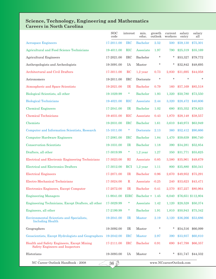#### **Science, Technology, Engineering and Mathematics Careers in North Carolina**

|                                                                               | <b>SOC</b><br>code | interest      | min.<br>educ.     | growth<br>outlook | current<br>workers      | salary<br>entry | salary<br>all      |
|-------------------------------------------------------------------------------|--------------------|---------------|-------------------|-------------------|-------------------------|-----------------|--------------------|
| <b>Aerospace Engineers</b>                                                    | 17-2011.00         | <b>IRC</b>    | <b>Bachelor</b>   | 2.52              | 500                     | \$59,130        | \$75,301           |
| Agricultural and Food Science Technicians                                     | 19-4011.00         | <b>RIC</b>    | Associate         | 1.97              | 790                     | \$25,319        | \$35,169           |
| Agricultural Engineers                                                        | 17-2021.00         | <b>IRC</b>    | Bachelor          | $\ast$            | *                       | \$53,327        | \$79,772           |
| Anthropologists and Archeologists                                             | 19-3091.00         | IA            | Master            | $\ast$            | *                       | \$32,842        | \$48,695           |
| Architectural and Civil Drafters                                              | 17-3011.00         | $_{\rm RC}$   | $1,2$ year        | 0.73              | 2,830                   | \$31,695        | \$44,058           |
| Astronomers                                                                   | 19-2011.00         | <b>IRC</b>    | Doctorate         | $\star$           | $\star$                 | $\ast$          | $\ast$             |
| Atmospheric and Space Scientists                                              | 19-2021.00         | IR            | <b>Bachelor</b>   | 0.79              | 160                     | \$57,169        | \$85,518           |
| Biological Scientists, all other                                              | 19-1029.99         | $\ast$        | <b>Bachelor</b>   | 1.93              | 1,320                   | \$50,780        | \$73,550           |
| <b>Biological Technicians</b>                                                 | 19-4021.00         | <b>RIC</b>    | Associate         | 2.44              | 3,320                   | \$28,472        | \$40,606           |
| <b>Chemical Engineers</b>                                                     | 17-2041.00         | IR            | <b>Bachelor</b>   | 1.02              | 680                     | \$55,352        | \$78,823           |
| <b>Chemical Technicians</b>                                                   | 19-4031.00         | <b>RIC</b>    | Associate         | 0.43              | 1,870                   | \$28,148        | \$38,557           |
| Chemists                                                                      | 19-2031.00         | <b>IRC</b>    | <b>Bachelor</b>   | 1.61              | 3,610                   | \$40,973        | \$63,949           |
| Computer and Information Scientists, Research                                 | 15-1011.00         | *             | Doctorate         | 2.13              | 360                     | \$52,412        | \$90,666           |
| <b>Computer Hardware Engineers</b>                                            | 17-2061.00         | <b>IRC</b>    | <b>Bachelor</b>   | 1.84              | 1,470                   | \$59,639        | \$90,740           |
| <b>Conservation Scientists</b>                                                | 19-1031.00         | IR            | <b>Bachelor</b>   | 1.18              | 390                     | \$34,281        | \$52,854           |
| Drafters, all other                                                           | 17-3019.99         | $\ast$        | $1,2$ year        | 1.27              | 350                     | \$31,771        | \$55,625           |
| Electrical and Electronic Engineering Technicians                             | 17-3023.00         | $\rm RI$      | Associate         | 0.85              | 3,580                   | \$35,961        | \$49,679           |
| <b>Electrical and Electronics Drafters</b>                                    | 17-3012.00         | <b>RCI</b>    | $1,2$ year        | 1.11              | 800                     | \$35,880        | \$50,341           |
| <b>Electrical Engineers</b>                                                   | 17-2071.00         | IR            | <b>Bachelor</b>   | 0.96              | 2,670                   | \$49,952        | \$75,291           |
| Electro-Mechanical Technicians                                                | 17-3024.00         | $\mathbf R$   | Associate         | $-0.25$           | 240                     | \$33,623        | \$43,471           |
| Electronics Engineers, Except Computer                                        | 17-2072.00         | $_{\rm IR}$   | <b>Bachelor</b>   | 0.41              | 2,570                   | \$57,227        | \$80,964           |
| <b>Engineering Managers</b>                                                   | 11-9041.00         | <b>EIRC</b>   | Bachelor + $1.45$ |                   | 6,040                   |                 | \$76,651 \$112,804 |
| Engineering Technicians, Except Drafters, all other                           | 17-3029.99         | *             | Associate         | 1.42              | 1,120                   | \$28,528        | \$50,374           |
| Engineers, all other                                                          | 17-2199.99         | $\ast$        | <b>Bachelor</b>   | 1.91              | 1,810                   | \$50,943        | \$75,342           |
| <b>Environmental Scientists and Specialists,</b><br><b>Including Health</b>   | 19-2041.00         | $_{\rm IR}$   | <b>Master</b>     | 2.19              | 3,120                   | \$36,266        | \$53,686           |
| Geographers                                                                   | 19-3092.00         | IR            | Master            | *                 | *                       | \$54,516        | \$66,099           |
| Geoscientists, Except Hydrologists and Geographers                            | 19-2042.00         | <b>IRC</b>    | <b>Master</b>     | 2.97              | 390                     | \$33,937        | \$60,810           |
| Health and Safety Engineers, Except Mining<br>Safety Engineers and Inspectors | 17-2111.00         | $_{\rm{IRC}}$ | <b>Bachelor</b>   | 0.91              | 690                     | \$47,798        | \$66,357           |
| Historians                                                                    | 19-3093.00         | IA            | Master            | *                 | *                       | \$31,747        | \$44,332           |
| NC Career Outlook Handbook - 2008                                             | $\overline{36}$ D  |               |                   |                   | www.NCcareerOutlook.com |                 |                    |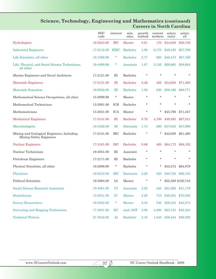# **Science, Technology, Engineering and Mathematics (continued) Careers in North Carolina**

|                                                                       | <b>SOC</b><br>code | interest     | min.<br>educ.   | growth<br>outlook | current<br>workers | salary<br>entry       | salary<br>all      |
|-----------------------------------------------------------------------|--------------------|--------------|-----------------|-------------------|--------------------|-----------------------|--------------------|
| Hydrologists                                                          | 19-2043.00         | <b>IRC</b>   | <b>Master</b>   | 0.91              | 170                | \$44,058              | \$56,749           |
| <b>Industrial Engineers</b>                                           | 17-2112.00         | <b>EIRC</b>  | Bachelor        | 1.98              | 6,170              | \$48,182              | \$67,798           |
| Life Scientists, all other                                            | 19-1099.99         | $\ast$       | <b>Bachelor</b> | 2.77              | 920                | \$46,473              | \$67,726           |
| Life, Physical, and Social Science Technicians,<br>all other          | 19-4099.99         | $\ast$       | Associate       | 1.97              | 3,150              | \$29,865              | \$38,664           |
| Marine Engineers and Naval Architects                                 | 17-2121.00         | $\mathbf{R}$ | Bachelor        | $\star$           | $\star$            | $\star$               | $\ast$             |
| <b>Materials Engineers</b>                                            | 17-2131.00         | IR           | <b>Bachelor</b> | 0.46              | 450                | \$54,658              | \$71,400           |
| Materials Scientists                                                  | 19-2032.00         | $_{\rm IR}$  | <b>Bachelor</b> | 1.56              | 230                | \$59,166              | \$88,771           |
| Mathematical Science Occupations, all other                           | 15-2099.99         | $\star$      | Master          | $\ast$            | $\star$            | *                     | *                  |
| Mathematical Technicians                                              | 15-2091.00         | ICR          | Bachelor        | $\ast$            | $\star$            | *                     | $\ast$             |
| Mathematicians                                                        | 15-2021.00         | <b>ICA</b>   | Master          | $\ast$            | *                  | \$45,796              | \$71,457           |
| <b>Mechanical Engineers</b>                                           | 17-2141.00         | RI           | <b>Bachelor</b> | 0.79              | 4,700              | \$49,383              | \$67,241           |
| Microbiologists                                                       | 19-1022.00         | IR           | Doctorate       | 1.74              | 280                | \$37,042              | \$57,099           |
| Mining and Geological Engineers, Including<br>Mining Safety Engineers | 17-2151.00         | <b>IRC</b>   | Bachelor        | $\ast$            | *                  | \$42,659              | \$61,490           |
| <b>Nuclear Engineers</b>                                              | 17-2161.00         | <b>IRC</b>   | <b>Bachelor</b> | 0.86              | 400                | \$64,172              | \$88,102           |
| Nuclear Technicians                                                   | 19-4051.00         | $\mathbf{R}$ | Associate       | $\ast$            | $\star$            | *                     | *                  |
| Petroleum Engineers                                                   | 17-2171.00         | RI           | Bachelor        | $\ast$            | $\ast$             | *                     | $\ast$             |
| Physical Scientists, all other                                        | 19-2099.99         | $\ast$       | Bachelor        | *                 | *                  | \$35,572              | \$64,979           |
| Physicists                                                            | 19-2012.00         | $_{\rm IRC}$ | Doctorate       | 2.26              | 520                | \$49,728              | \$96,152           |
| Political Scientists                                                  | 19-3094.00         | IA           | Master          | *                 | $\star$            |                       | \$55,226 \$100,743 |
| Social Science Research Assistants                                    | 19-4061.00         | CI.          | Associate       | $2.20\,$          |                    | 440 \$21,626 \$31,179 |                    |
| Statisticians                                                         | 15-2041.00         | $_{\rm IC}$  | Master          | $2.26\,$          | 710                | \$46,235              | \$70,582           |
| <b>Survey Researchers</b>                                             | 19-3022.00         | $\ast$       | Master          | 2.35              | 540                | \$29,355              | \$42,273           |
| <b>Surveying and Mapping Technicians</b>                              | 17-3031.00         | RC           | mod. OJT        | 2.00              | 4,360              | \$23,133              | \$32,424           |
| <b>Technical Writers</b>                                              | 27-3042.00         | AI           | <b>Bachelor</b> | 2.19              | 1,040              |                       | \$38,544 \$59,392  |

 $\sqrt{37}$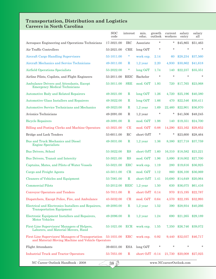#### **Transportation, Distribution and Logistics Careers in North Carolina**

|                                                                                                                   | $_{\text{SOC}}$<br>code | interest     | min.<br>educ.     | growth<br>outlook | current<br>workers | salary<br>entry   | salary<br>all |
|-------------------------------------------------------------------------------------------------------------------|-------------------------|--------------|-------------------|-------------------|--------------------|-------------------|---------------|
| Aerospace Engineering and Operations Technicians                                                                  | 17-3021.00              | <b>IRC</b>   | Associate         | $\ast$            | *                  | \$45,865          | \$51,463      |
| Air Traffic Controllers                                                                                           | 53-2021.00              | <b>CRE</b>   | long OJT          | $\ast$            | $\star$            | $\star$           | $\ast$        |
| <b>Aircraft Cargo Handling Supervisors</b>                                                                        | 53-1011.00              | $\ast$       | work exp.         | 2.14              | 60                 | \$28,234          | \$37,560      |
| Aircraft Mechanics and Service Technicians                                                                        | 49-3011.00              | R            | $1,2$ year        | 2.20              | 4,930              | \$30,862          | \$41,618      |
| Airfield Operations Specialists                                                                                   | 53-2022.00              | $\ast$       | long OJT          | 1.74              | 140                | \$22,237          | \$35,351      |
| Airline Pilots, Copilots, and Flight Engineers                                                                    | 53-2011.00              | REIC         | Bachelor          | $\ast$            | $\star$            | $\star$           | $\ast$        |
| Ambulance Drivers and Attendants, Except<br><b>Emergency Medical Technicians</b>                                  | 53-3011.00              | <b>SRE</b>   | mod. OJT          | 1.93              | 720                | \$17,765          | \$23,068      |
| Automotive Body and Related Repairers                                                                             | 49-3021.00              | $\mathbf R$  | $long$ $OJT$      | 1.26              | 4,720              | \$25,196          | \$40,380      |
| Automotive Glass Installers and Repairers                                                                         | 49-3022.00              | $\mathbf R$  | $long$ OJT        | 1.66              | 470                | \$22,546          | \$30,411      |
| Automotive Service Technicians and Mechanics                                                                      | 49-3023.00              | $\mathbf R$  | $1,2$ year        | 1.69              | 22,460             | \$22,901          | \$36,970      |
| Avionics Technicians                                                                                              | 49-2091.00              | R            | $1,2$ year        | $\ast$            | *                  | \$41,506          | \$48,245      |
| <b>Bicycle Repairers</b>                                                                                          | 49-3091.00              | $\mathbf R$  | mod. OJT          | 1.98              | 140                | \$19,351          | \$24,700      |
| Billing and Posting Clerks and Machine Operators                                                                  | 43-3021.00              | CE           | mod. OJT          | 0.88              | 14,290             | \$23,162          | \$29,852      |
| Bridge and Lock Tenders                                                                                           | 53-6011.00              | RC           | short OJT         | $\ast$            | *                  | \$23,600          | \$28,464      |
| Bus and Truck Mechanics and Diesel<br><b>Engine Specialists</b>                                                   | 49-3031.00              | $\mathbf R$  | $1,2$ year        | 1.36              | 8,380              | \$27,718          | \$37,759      |
| <b>Bus Drivers, School</b>                                                                                        | 53-3022.00              | RS           | short OJT         | 1.60              | 16,310             | \$18,582          | \$23,221      |
| Bus Drivers, Transit and Intercity                                                                                | 53-3021.00              | RS           | mod. OJT          | 1.96              | 3,890              | \$18,002          | \$27,700      |
| Captains, Mates, and Pilots of Water Vessels                                                                      | 53-5021.00              | $_{\rm ERC}$ | work exp.         | 1.19              | 280                | \$19,616          | \$36,925      |
| Cargo and Freight Agents                                                                                          | 43-5011.00              | CR           | mod. OJT          | 1.12              | 860                | \$26,100          | \$36,069      |
| <b>Cleaners of Vehicles and Equipment</b>                                                                         | 53-7061.00              | $\mathbf R$  | short OJT         | 1.41              | 10,680             | \$14,649          | \$20,064      |
| <b>Commercial Pilots</b>                                                                                          | 53-2012.00              | <b>REIC</b>  | $1,2$ year        | 1.50              | 630                | \$36,075          | \$61,416      |
| <b>Conveyor Operators and Tenders</b>                                                                             | 53-7011.00              | $\mathbf R$  | short OJT         | 0.14              | 970                | \$15,195          | \$22,787      |
| Dispatchers, Except Police, Fire, and Ambulance                                                                   | 43-5032.00              | CR           | mod. OJT          | 0.64              | 4,570              | \$22,195          | \$32,993      |
| Electrical and Electronics Installers and Repairers,<br><b>Transportation Equipment</b>                           | 49-2093.00              | $\mathbf R$  | $1,2$ year        | 1.52              | 390                | \$28,934          | \$40,266      |
| Electronic Equipment Installers and Repairers,<br><b>Motor Vehicles</b>                                           | 49-2096.00              | R            | $1,2$ year        | 1.24              | 690                | \$21,265          | \$29,189      |
| First-Line Supervisors/Managers of Helpers,<br>Laborers, and Material Movers, Hand                                | 53-1021.00              | <b>ECR</b>   | work exp.         | 1.55              | 7,350              | \$26,746          | \$39,072      |
| First-Line Supervisors/Managers of Transportation 53-1031.00<br>and Material-Moving Machine and Vehicle Operators |                         | ERC          | work exp.         | 0.92              | 9,440              | \$32,037 \$46,717 |               |
| Flight Attendants                                                                                                 | 39-6031.00              | ESA          | long OJT          | $^\star$          |                    |                   | $\star$       |
| <b>Industrial Truck and Tractor Operators</b>                                                                     | 53-7051.00              | $\mathbf R$  | short $OJT -0.14$ |                   | 21,730             | \$20,008 \$27,025 |               |
| $\overline{38}$ D<br>NC Career Outlook Handbook - 2008<br>www.NCcareerOutlook.com                                 |                         |              |                   |                   |                    |                   |               |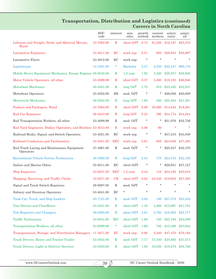# **Transportation, Distribution and Logistics (continued) Careers in North Carolina**

|                                                                | <b>SOC</b><br>code | interest     | min.<br>educ.   | growth<br>outlook | current<br>workers | salary<br>entry | salary<br>all       |
|----------------------------------------------------------------|--------------------|--------------|-----------------|-------------------|--------------------|-----------------|---------------------|
| Laborers and Freight, Stock, and Material Movers,<br>Hand      | 53-7062.00         | $\mathbf R$  | short OJT       | 0.73              | 81,020             | \$16,187        | \$22,272            |
| <b>Locomotive Engineers</b>                                    | 53-4011.00         | RC           | work exp.       | 0.51              | 950                | \$29,943        | \$38,867            |
| Locomotive Firers                                              | 53-4012.00         | RC           | work exp.       | $\ast$            | $\star$            | $\star$         |                     |
| Logisticians                                                   | 13-1081.00         | $\ast$       | <b>Bachelor</b> | 2.57              | 2,230              | \$42,447        | \$60,170            |
| Mobile Heavy Equipment Mechanics, Except Engines 49-3042.00    |                    | $\mathbf R$  | $1,2$ year      | 1.92              | 3,320              | \$29,357        | \$39,656            |
| Motor Vehicle Operators, all other                             | 53-3099.99         | $\mathbf R$  | short OJT       | 0.37              | 5,560              | \$19,105        | \$26,946            |
| Motorboat Mechanics                                            | 49-3051.00         | $\mathbf R$  | $long$ OJT      | 1.70              | 910                | \$23,450        | \$32,937            |
| Motorboat Operators                                            | 53-5022.00         | RE           | mod. OJT        | $\ast$            | *                  | \$26,056        | \$40,009            |
| <b>Motorcycle Mechanics</b>                                    | 49-3052.00         | $\mathbb{R}$ | long OJT        | 1.68              | 520                | \$20,384        | \$31,391            |
| Packers and Packagers, Hand                                    | 53-7064.00         | $\mathbf R$  | short OJT       | $-0.86$           | 30,060             | \$14,642        | \$19,261            |
| Rail Car Repairers                                             | 49-3043.00         | $\mathbf R$  | long OJT        | 0.23              | 390                | \$24,774        | \$34,524            |
| Rail Transportation Workers, all other                         | 53-4099.99         | R            | mod. OJT        | $\ast$            | *                  | \$21,976        | \$32,756            |
| Rail Yard Engineers, Dinkey Operators, and Hostlers 53-4013.00 |                    | $\mathbf R$  | work exp.       | $-4.06$           | 60                 | $\ast$          |                     |
| Railroad Brake, Signal, and Switch Operators                   | 53-4021.00         | RC           | work exp.       | *                 | *                  | \$37,210        | \$43,949            |
| Railroad Conductors and Yardmasters                            | 53-4031.00         | <b>REC</b>   | work exp.       | 0.61              | 650                | \$24,046        | \$37,363            |
| Rail-Track Laying and Maintenance Equipment<br>Operators       | 47-4061.00         | $\mathbf R$  | mod. OJT        | $\ast$            | $\star$            | \$25,557        | \$32,370            |
| <b>Recreational Vehicle Service Technicians</b>                | 49-3092.00         | $\mathbf R$  | long OJT        | 2.55              | 170                | \$24,710        | \$32,156            |
| Sailors and Marine Oilers                                      | 53-5011.00         | RC           | short OJT       | $^\ast$           | *                  | \$29,951        | \$37,127            |
| <b>Ship Engineers</b>                                          | 53-5031.00         | <b>REC</b>   | $1,2$ year      | 0.44              | 110                | \$34,192        | \$43,918            |
| Shipping, Receiving, and Traffic Clerks                        | 43-5071.00         | CR           | short OJT       | 0.62              | 22,540             | \$19,635        | \$27,565            |
| Signal and Track Switch Repairers                              | 49-9097.00         | $\mathbf R$  | mod. OJT        | $\star$           |                    | ÷               | $\ast$              |
| Subway and Streetcar Operators                                 | 53-4041.00         | RC           | $\ast$          | $\ast$            | $\ast$             | $\ast$          | $\ast$              |
| Tank Car, Truck, and Ship Loaders                              | 53-7121.00         | $\mathbb R$  | mod. OJT        | 3.02              | 180                | \$27,378        | \$33,432            |
| Taxi Drivers and Chauffeurs                                    | 53-3041.00         | $\mathbf R$  | short OJT       | 1.30              | 4,260              | \$15,997        | \$21,724            |
| <b>Tire Repairers and Changers</b>                             | 49-3093.00         | $\mathbf R$  | short OJT       | 2.61              | 3,780              | \$16,925        | \$22,717            |
| <b>Traffic Technicians</b>                                     | 53-6041.00         | <b>RIC</b>   | short OJT       | 1.88              | 120                | \$23,784        | \$33,009            |
| Transportation Workers, all other                              | 53-6099.99         | $\ast$       | short OJT       | 1.60              | 740                | \$15,596        | \$23,942            |
| Transportation, Storage, and Distribution Managers             | 11-3071.00         | EC           | work exp.       | 0.90              | 2,440              | \$47,470        | \$76,194            |
| Truck Drivers, Heavy and Tractor-Trailer                       | 53-3032.00         | $\mathbf R$  | mod. OJT        | 1.17              | 57,550             | \$25,605        | \$37,574            |
| Truck Drivers, Light or Delivery Services                      | 53-3033.00         | $\mathbf R$  | short OJT 1.20  |                   | 33,050             |                 | $$19,278$ $$28,726$ |

 $293$